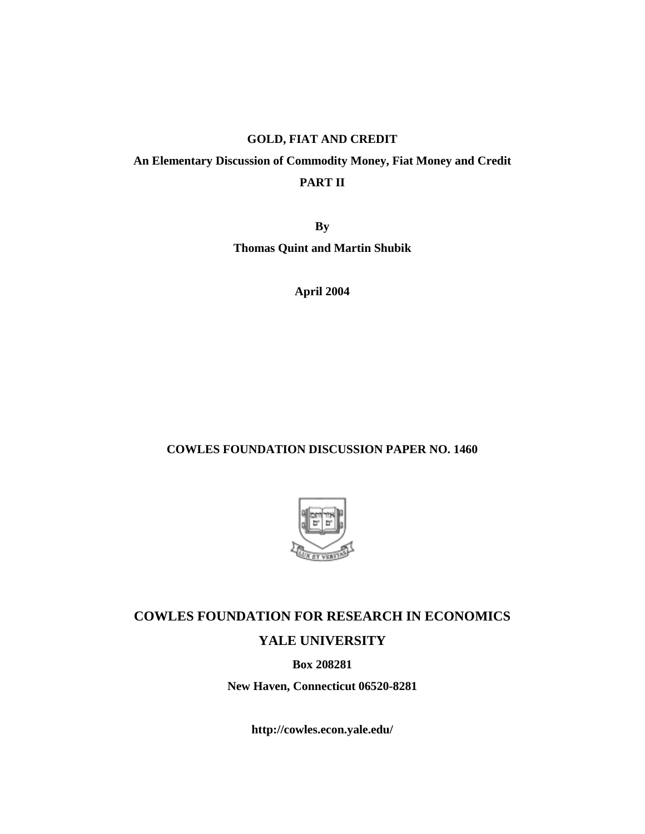# **GOLD, FIAT AND CREDIT**

# **An Elementary Discussion of Commodity Money, Fiat Money and Credit PART II**

**By Thomas Quint and Martin Shubik** 

**April 2004** 

# **COWLES FOUNDATION DISCUSSION PAPER NO. 1460**



# **COWLES FOUNDATION FOR RESEARCH IN ECONOMICS YALE UNIVERSITY**

**Box 208281** 

**New Haven, Connecticut 06520-8281** 

**http://cowles.econ.yale.edu/**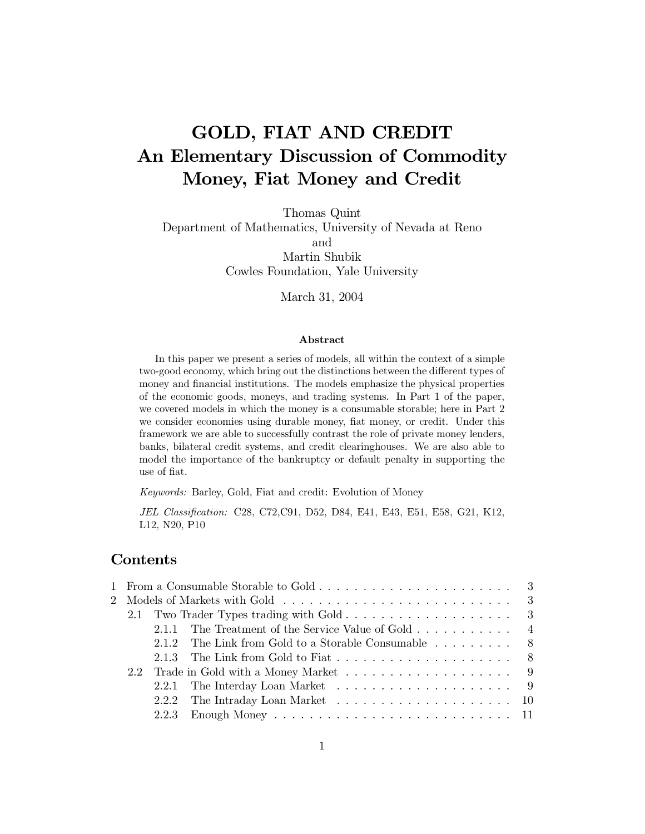# **GOLD, FIAT AND CREDIT** An Elementary Discussion of Commodity Money, Fiat Money and Credit

Thomas Quint Department of Mathematics, University of Nevada at Reno and Martin Shubik Cowles Foundation, Yale University

March 31, 2004

## Abstract

In this paper we present a series of models, all within the context of a simple two-good economy, which bring out the distinctions between the different types of money and financial institutions. The models emphasize the physical properties of the economic goods, moneys, and trading systems. In Part 1 of the paper, we covered models in which the money is a consumable storable; here in Part 2 we consider economies using durable money, fiat money, or credit. Under this framework we are able to successfully contrast the role of private money lenders, banks, bilateral credit systems, and credit clearinghouses. We are also able to model the importance of the bankruptcy or default penalty in supporting the use of fiat.

Keywords: Barley, Gold, Fiat and credit: Evolution of Money

JEL Classification: C28, C72, C91, D52, D84, E41, E43, E51, E58, G21, K12, L12, N20, P10

# Contents

|  | 2.1.1 The Treatment of the Service Value of Gold $\dots \dots \dots$ |
|--|----------------------------------------------------------------------|
|  | 2.1.2 The Link from Gold to a Storable Consumable $\dots \dots$ .    |
|  |                                                                      |
|  |                                                                      |
|  |                                                                      |
|  |                                                                      |
|  |                                                                      |
|  |                                                                      |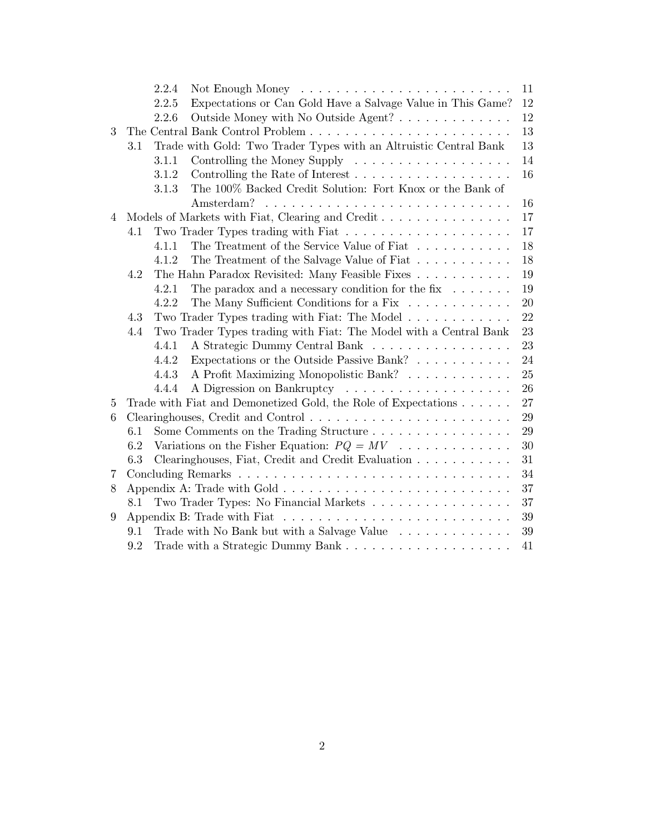|   |     | 2.2.4 | Not Enough Money $\dots \dots \dots \dots \dots \dots \dots \dots \dots$                     | 11     |
|---|-----|-------|----------------------------------------------------------------------------------------------|--------|
|   |     | 2.2.5 | Expectations or Can Gold Have a Salvage Value in This Game?                                  | 12     |
|   |     | 2.2.6 | Outside Money with No Outside Agent?                                                         | 12     |
| 3 |     |       |                                                                                              | 13     |
|   | 3.1 |       | Trade with Gold: Two Trader Types with an Altruistic Central Bank                            | 13     |
|   |     | 3.1.1 | Controlling the Money Supply $\dots \dots \dots \dots \dots \dots$                           | 14     |
|   |     | 3.1.2 | Controlling the Rate of Interest $\dots \dots \dots \dots \dots \dots$                       | 16     |
|   |     | 3.1.3 | The 100% Backed Credit Solution: Fort Knox or the Bank of                                    |        |
|   |     |       |                                                                                              | 16     |
| 4 |     |       | Models of Markets with Fiat, Clearing and Credit                                             | 17     |
|   | 4.1 |       |                                                                                              | $17\,$ |
|   |     | 4.1.1 | The Treatment of the Service Value of Fiat $\ldots \ldots \ldots$                            | 18     |
|   |     | 4.1.2 | The Treatment of the Salvage Value of Fiat $\dots \dots \dots$                               | 18     |
|   | 4.2 |       | The Hahn Paradox Revisited: Many Feasible Fixes                                              | 19     |
|   |     | 4.2.1 | The paradox and a necessary condition for the fix $\dots \dots$                              | 19     |
|   |     | 4.2.2 | The Many Sufficient Conditions for a Fix                                                     | 20     |
|   | 4.3 |       | Two Trader Types trading with Fiat: The Model $\ldots \ldots \ldots \ldots$                  | 22     |
|   | 4.4 |       | Two Trader Types trading with Fiat: The Model with a Central Bank                            | 23     |
|   |     | 4.4.1 | A Strategic Dummy Central Bank                                                               | 23     |
|   |     | 4.4.2 | Expectations or the Outside Passive Bank?                                                    | 24     |
|   |     | 4.4.3 | A Profit Maximizing Monopolistic Bank?                                                       | 25     |
|   |     | 4.4.4 |                                                                                              | 26     |
| 5 |     |       | Trade with Fiat and Demonetized Gold, the Role of Expectations                               | 27     |
| 6 |     |       |                                                                                              | 29     |
|   | 6.1 |       | Some Comments on the Trading Structure                                                       | 29     |
|   | 6.2 |       | Variations on the Fisher Equation: $PQ = MV$                                                 | 30     |
|   | 6.3 |       | Clearinghouses, Fiat, Credit and Credit Evaluation                                           | 31     |
| 7 |     |       |                                                                                              | 34     |
| 8 |     |       |                                                                                              | 37     |
|   | 8.1 |       | Two Trader Types: No Financial Markets                                                       | 37     |
| 9 |     |       | Appendix B: Trade with Fiat $\ldots \ldots \ldots \ldots \ldots \ldots \ldots \ldots \ldots$ | 39     |
|   | 9.1 |       | Trade with No Bank but with a Salvage Value                                                  | 39     |
|   | 9.2 |       |                                                                                              | 41     |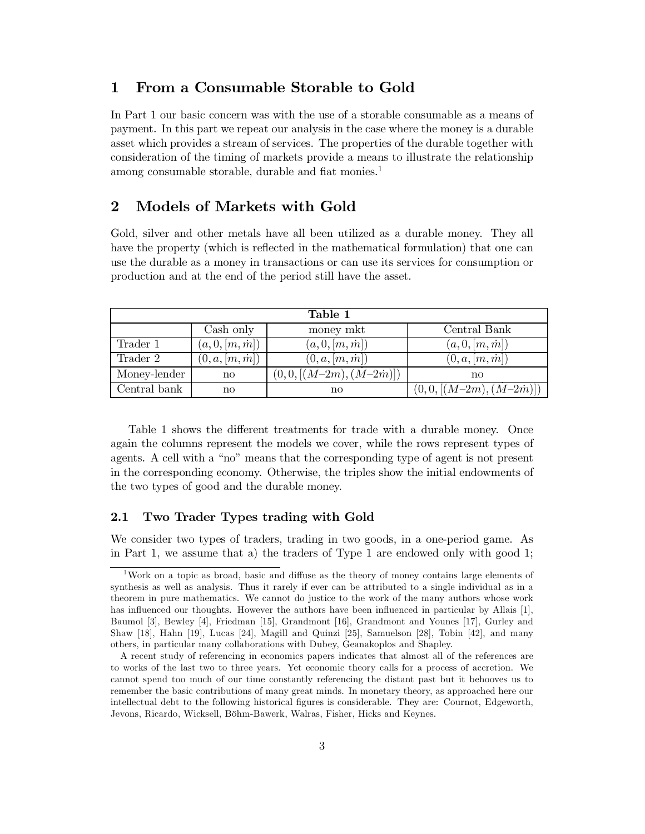#### From a Consumable Storable to Gold  $\mathbf 1$

In Part 1 our basic concern was with the use of a storable consumable as a means of payment. In this part we repeat our analysis in the case where the money is a durable asset which provides a stream of services. The properties of the durable together with consideration of the timing of markets provide a means to illustrate the relationship among consumable storable, durable and fiat monies.<sup>1</sup>

#### $\boldsymbol{2}$ Models of Markets with Gold

Gold, silver and other metals have all been utilized as a durable money. They all have the property (which is reflected in the mathematical formulation) that one can use the durable as a money in transactions or can use its services for consumption or production and at the end of the period still have the asset.

| Table 1      |                        |                         |                         |  |  |  |
|--------------|------------------------|-------------------------|-------------------------|--|--|--|
|              | Cash only              | money mkt               | Central Bank            |  |  |  |
| Trader 1     | (a, 0, [m, m])         | (a, 0, [m, m])          | (a, 0, [m, m])          |  |  |  |
| Trader 2     | (0, a, [m, m])         | (0, a, [m, m])          | (0, a, [m, m])          |  |  |  |
| Money-lender | $\mathbf{n}\mathbf{o}$ | $(0,0,[(M-2m),(M-2m)])$ | no                      |  |  |  |
| Central bank | $\mathbf{n}\mathbf{o}$ | no                      | $(0,0,[(M-2m),(M-2m)])$ |  |  |  |

Table 1 shows the different treatments for trade with a durable money. Once again the columns represent the models we cover, while the rows represent types of agents. A cell with a "no" means that the corresponding type of agent is not present in the corresponding economy. Otherwise, the triples show the initial endowments of the two types of good and the durable money.

#### $2.1$ Two Trader Types trading with Gold

We consider two types of traders, trading in two goods, in a one-period game. As in Part 1, we assume that a) the traders of Type 1 are endowed only with good 1;

Work on a topic as broad, basic and diffuse as the theory of money contains large elements of synthesis as well as analysis. Thus it rarely if ever can be attributed to a single individual as in a theorem in pure mathematics. We cannot do justice to the work of the many authors whose work has influenced our thoughts. However the authors have been influenced in particular by Allais [1], Baumol [3], Bewley [4], Friedman [15], Grandmont [16], Grandmont and Younes [17], Gurley and Shaw [18], Hahn [19], Lucas [24], Magill and Quinzi [25], Samuelson [28], Tobin [42], and many others, in particular many collaborations with Dubey, Geanakoplos and Shapley.

A recent study of referencing in economics papers indicates that almost all of the references are to works of the last two to three years. Yet economic theory calls for a process of accretion. We cannot spend too much of our time constantly referencing the distant past but it behooves us to remember the basic contributions of many great minds. In monetary theory, as approached here our intellectual debt to the following historical figures is considerable. They are: Cournot, Edgeworth, Jevons, Ricardo, Wicksell, Böhm-Bawerk, Walras, Fisher, Hicks and Keynes.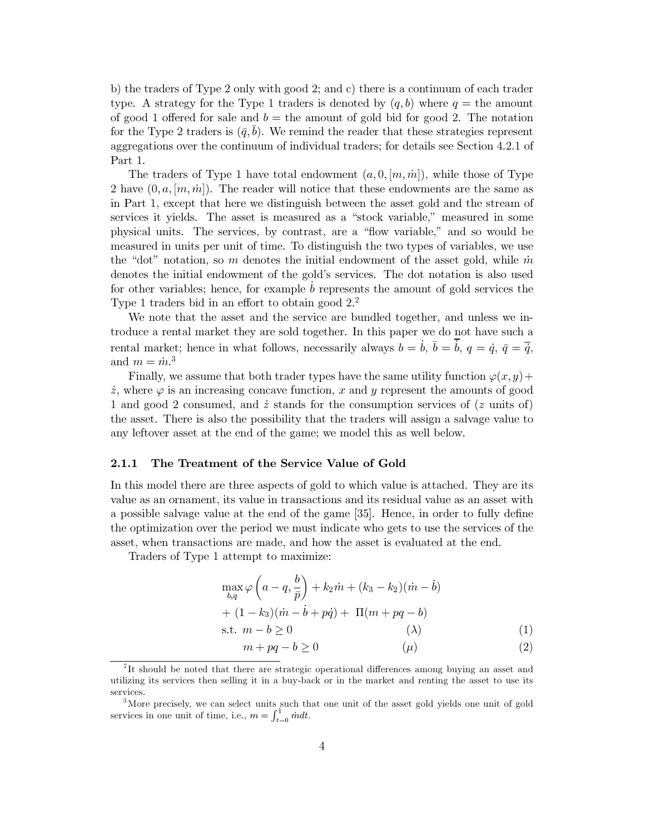b) the traders of Type 2 only with good 2; and c) there is a continuum of each trader type. A strategy for the Type 1 traders is denoted by  $(q, b)$  where  $q =$  the amount of good 1 offered for sale and  $b =$  the amount of gold bid for good 2. The notation for the Type 2 traders is  $(\bar{q}, b)$ . We remind the reader that these strategies represent aggregations over the continuum of individual traders; for details see Section 4.2.1 of Part 1.

The traders of Type 1 have total endowment  $(a, 0, [m, m])$ , while those of Type 2 have  $(0, a, [m, m])$ . The reader will notice that these endowments are the same as in Part 1, except that here we distinguish between the asset gold and the stream of services it yields. The asset is measured as a "stock variable," measured in some physical units. The services, by contrast, are a "flow variable," and so would be measured in units per unit of time. To distinguish the two types of variables, we use the "dot" notation, so m denotes the initial endowment of the asset gold, while  $\dot{m}$ denotes the initial endowment of the gold's services. The dot notation is also used for other variables; hence, for example  $b$  represents the amount of gold services the Type 1 traders bid in an effort to obtain good  $2<sup>2</sup>$ .

We note that the asset and the service are bundled together, and unless we introduce a rental market they are sold together. In this paper we do not have such a rental market; hence in what follows, necessarily always  $b = \dot{b}$ ,  $\bar{b} = \dot{b}$ ,  $q = \dot{q}$ ,  $\bar{q} = \overline{\dot{q}}$ , and  $m = \dot{m}^3$ .

Finally, we assume that both trader types have the same utility function  $\varphi(x, y)$  +  $\dot{z}$ , where  $\varphi$  is an increasing concave function, x and y represent the amounts of good 1 and good 2 consumed, and  $\dot{z}$  stands for the consumption services of ( $z$  units of) the asset. There is also the possibility that the traders will assign a salvage value to any leftover asset at the end of the game; we model this as well below.

#### 2.1.1 The Treatment of the Service Value of Gold

In this model there are three aspects of gold to which value is attached. They are its value as an ornament, its value in transactions and its residual value as an asset with a possible salvage value at the end of the game [35]. Hence, in order to fully define the optimization over the period we must indicate who gets to use the services of the asset, when transactions are made, and how the asset is evaluated at the end.

Traders of Type 1 attempt to maximize:

$$
\max_{b,q} \varphi \left( a - q, \frac{b}{\bar{p}} \right) + k_2 \dot{m} + (k_3 - k_2)(\dot{m} - \dot{b}) + (1 - k_3)(\dot{m} - \dot{b} + p\dot{q}) + \Pi(m + pq - b) \text{s.t. } m - b \ge 0
$$
 (1)

$$
m + pq - b \ge 0 \tag{2}
$$

<sup>&</sup>lt;sup>2</sup>It should be noted that there are strategic operational differences among buying an asset and utilizing its services then selling it in a buy-back or in the market and renting the asset to use its services.

<sup>&</sup>lt;sup>3</sup>More precisely, we can select units such that one unit of the asset gold yields one unit of gold services in one unit of time, i.e.,  $m = \int_{t=0}^{1} \dot{m} dt$ .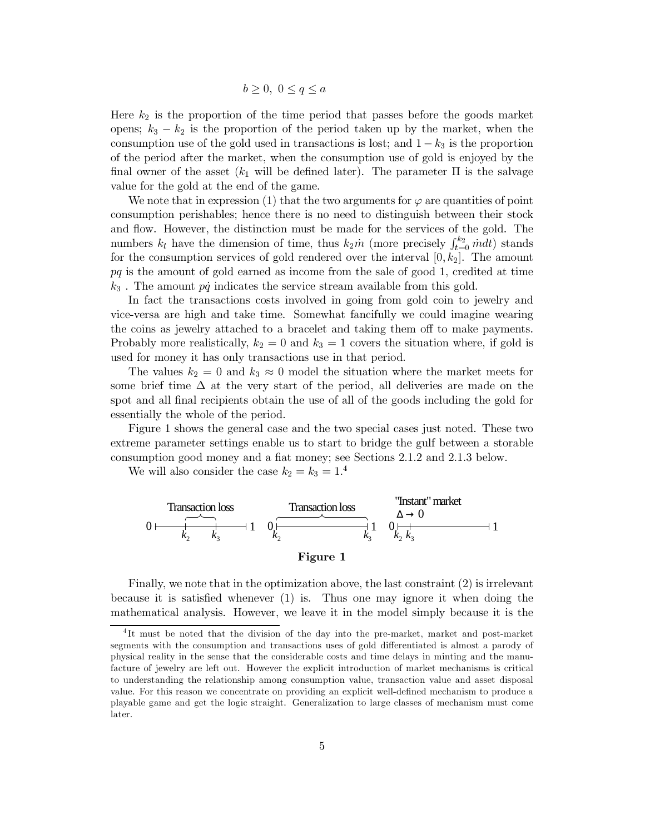$$
b \ge 0, \ 0 \le q \le a
$$

Here  $k_2$  is the proportion of the time period that passes before the goods market opens;  $k_3 - k_2$  is the proportion of the period taken up by the market, when the consumption use of the gold used in transactions is lost; and  $1-k_3$  is the proportion of the period after the market, when the consumption use of gold is enjoyed by the final owner of the asset  $(k_1$  will be defined later). The parameter  $\Pi$  is the salvage value for the gold at the end of the game.

We note that in expression (1) that the two arguments for  $\varphi$  are quantities of point consumption perishables; hence there is no need to distinguish between their stock and flow. However, the distinction must be made for the services of the gold. The numbers  $k_t$  have the dimension of time, thus  $k_2\dot{m}$  (more precisely  $\int_{t=0}^{k_2} \dot{m} dt$ ) stands for the consumption services of gold rendered over the interval  $[0, k_2]$ . The amount  $pq$  is the amount of gold earned as income from the sale of good 1, credited at time  $k_3$ . The amount  $p\dot{q}$  indicates the service stream available from this gold.

In fact the transactions costs involved in going from gold coin to jewelry and vice-versa are high and take time. Somewhat fancifully we could imagine wearing the coins as jewelry attached to a bracelet and taking them off to make payments. Probably more realistically,  $k_2 = 0$  and  $k_3 = 1$  covers the situation where, if gold is used for money it has only transactions use in that period.

The values  $k_2 = 0$  and  $k_3 \approx 0$  model the situation where the market meets for some brief time  $\Delta$  at the very start of the period, all deliveries are made on the spot and all final recipients obtain the use of all of the goods including the gold for essentially the whole of the period.

Figure 1 shows the general case and the two special cases just noted. These two extreme parameter settings enable us to start to bridge the gulf between a storable consumption good money and a fiat money; see Sections 2.1.2 and 2.1.3 below.

We will also consider the case  $k_2 = k_3 = 1.^4$ 



Finally, we note that in the optimization above, the last constraint  $(2)$  is irrelevant because it is satisfied whenever  $(1)$  is. Thus one may ignore it when doing the mathematical analysis. However, we leave it in the model simply because it is the

<sup>&</sup>lt;sup>4</sup>It must be noted that the division of the day into the pre-market, market and post-market segments with the consumption and transactions uses of gold differentiated is almost a parody of physical reality in the sense that the considerable costs and time delays in minting and the manufacture of jewelry are left out. However the explicit introduction of market mechanisms is critical to understanding the relationship among consumption value, transaction value and asset disposal value. For this reason we concentrate on providing an explicit well-defined mechanism to produce a playable game and get the logic straight. Generalization to large classes of mechanism must come later.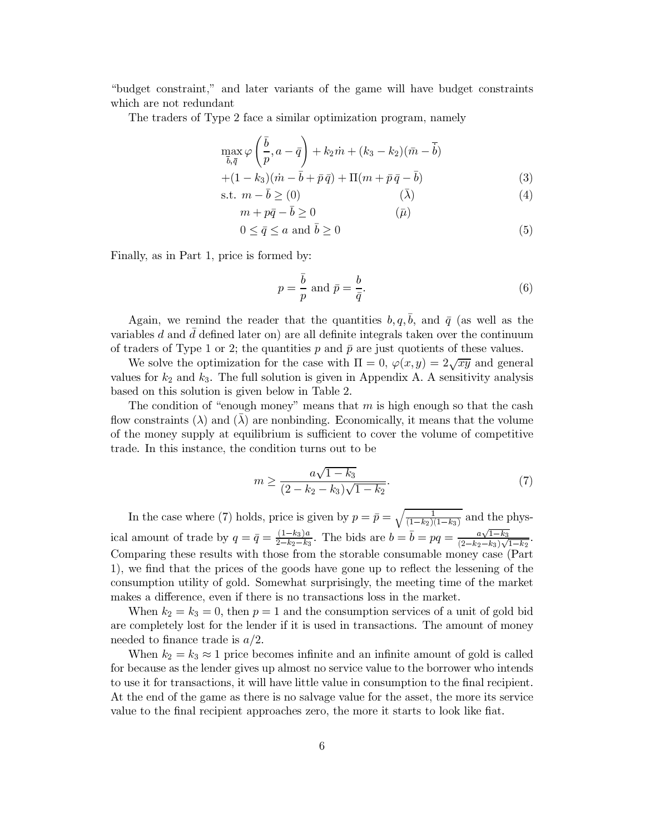"budget constraint," and later variants of the game will have budget constraints which are not redundant

The traders of Type 2 face a similar optimization program, namely

$$
\max_{\bar{b},\bar{q}} \varphi\left(\frac{\bar{b}}{p},a-\bar{q}\right) + k_2\dot{m} + (k_3 - k_2)(\bar{m} - \bar{b})
$$
  
+(1 - k<sub>3</sub>)(\dot{m} - \bar{b} + \bar{p}\bar{q}) + \Pi(m + \bar{p}\bar{q} - \bar{b})  
s.t.  $m - \bar{b} \geq 0$ ) (3)  
(4)

$$
m + p\bar{q} - \bar{b} \ge 0 \tag{1}
$$

$$
0 \le \bar{q} \le a \text{ and } \bar{b} \ge 0 \tag{5}
$$

Finally, as in Part 1, price is formed by:

$$
p = \frac{\bar{b}}{p} \text{ and } \bar{p} = \frac{b}{\bar{q}}.\tag{6}
$$

Again, we remind the reader that the quantities  $b, q, \bar{b}$ , and  $\bar{q}$  (as well as the variables  $d$  and  $d$  defined later on) are all definite integrals taken over the continuum of traders of Type 1 or 2; the quantities p and  $\bar{p}$  are just quotients of these values.

We solve the optimization for the case with  $\Pi = 0$ ,  $\varphi(x, y) = 2\sqrt{xy}$  and general values for  $k_2$  and  $k_3$ . The full solution is given in Appendix A. A sensitivity analysis based on this solution is given below in Table 2.

The condition of "enough money" means that  $m$  is high enough so that the cash flow constraints ( $\lambda$ ) and ( $\lambda$ ) are nonbinding. Economically, it means that the volume of the money supply at equilibrium is sufficient to cover the volume of competitive trade. In this instance, the condition turns out to be

$$
m \ge \frac{a\sqrt{1-k_3}}{(2-k_2-k_3)\sqrt{1-k_2}}.\tag{7}
$$

In the case where (7) holds, price is given by  $p = \bar{p} = \sqrt{\frac{1}{(1-k_2)(1-k_3)}}$  and the physical amount of trade by  $q = \bar{q} = \frac{(1-k_3)a}{2-k_2-k_3}$ . The bids are  $b = \bar{b} = pq = \frac{a\sqrt{1-k_3}}{(2-k_2-k_3)\sqrt{1-k_2}}$ . Comparing these results with those from the storable consumable money case (Part 1), we find that the prices of the goods have gone up to reflect the lessening of the consumption utility of gold. Somewhat surprisingly, the meeting time of the market makes a difference, even if there is no transactions loss in the market.

When  $k_2 = k_3 = 0$ , then  $p = 1$  and the consumption services of a unit of gold bid are completely lost for the lender if it is used in transactions. The amount of money needed to finance trade is  $a/2$ .

When  $k_2 = k_3 \approx 1$  price becomes infinite and an infinite amount of gold is called for because as the lender gives up almost no service value to the borrower who intends to use it for transactions, it will have little value in consumption to the final recipient. At the end of the game as there is no salvage value for the asset, the more its service value to the final recipient approaches zero, the more it starts to look like fiat.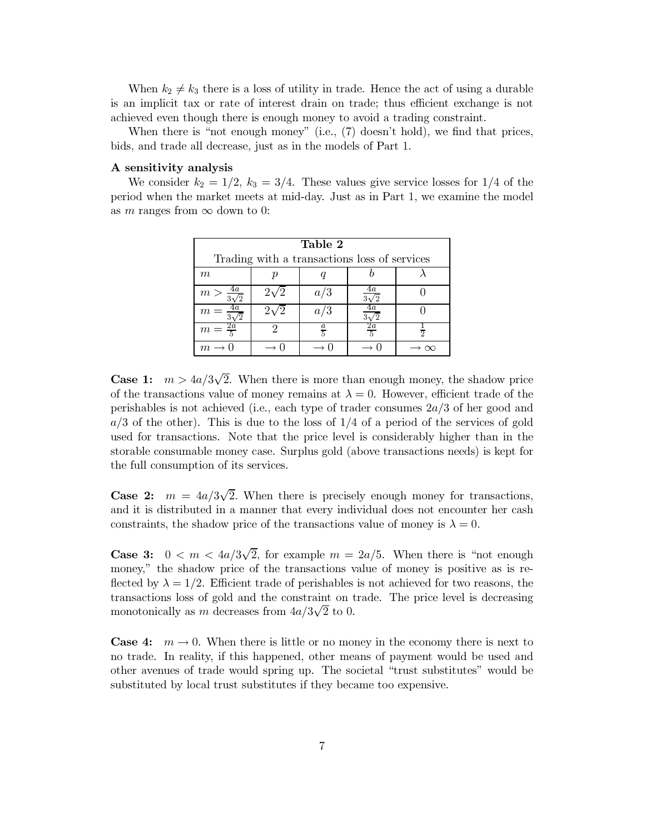When  $k_2 \neq k_3$  there is a loss of utility in trade. Hence the act of using a durable is an implicit tax or rate of interest drain on trade; thus efficient exchange is not achieved even though there is enough money to avoid a trading constraint.

When there is "not enough money" (i.e.,  $(7)$  doesn't hold), we find that prices, bids, and trade all decrease, just as in the models of Part 1.

## A sensitivity analysis

We consider  $k_2 = 1/2$ ,  $k_3 = 3/4$ . These values give service losses for 1/4 of the period when the market meets at mid-day. Just as in Part 1, we examine the model as m ranges from  $\infty$  down to 0:

| Table 2                                      |    |               |                   |  |  |
|----------------------------------------------|----|---------------|-------------------|--|--|
| Trading with a transactions loss of services |    |               |                   |  |  |
| m                                            | Þ  |               |                   |  |  |
| 4a<br>m >                                    |    | a/3           | 4a<br>$3\sqrt{2}$ |  |  |
| 79                                           |    | $a_{\cdot}$   |                   |  |  |
| $\frac{2a}{5}$<br>$\,m$                      | ٠, | $\frac{a}{5}$ | $\frac{2a}{5}$    |  |  |
|                                              |    |               |                   |  |  |

**Case 1:**  $m > 4a/3\sqrt{2}$ . When there is more than enough money, the shadow price of the transactions value of money remains at  $\lambda = 0$ . However, efficient trade of the perishables is not achieved (i.e., each type of trader consumes  $2a/3$  of her good and  $a/3$  of the other). This is due to the loss of  $1/4$  of a period of the services of gold used for transactions. Note that the price level is considerably higher than in the storable consumable money case. Surplus gold (above transactions needs) is kept for the full consumption of its services.

**Case 2:**  $m = 4a/3\sqrt{2}$ . When there is precisely enough money for transactions, and it is distributed in a manner that every individual does not encounter her cash constraints, the shadow price of the transactions value of money is  $\lambda = 0$ .

**Case 3:**  $0 < m < 4a/3\sqrt{2}$ , for example  $m = 2a/5$ . When there is "not enough money," the shadow price of the transactions value of money is positive as is reflected by  $\lambda = 1/2$ . Efficient trade of perishables is not achieved for two reasons, the transactions loss of gold and the constraint on trade. The price level is decreasing monotonically as m decreases from  $4a/3\sqrt{2}$  to 0.

**Case 4:**  $m \rightarrow 0$ . When there is little or no money in the economy there is next to no trade. In reality, if this happened, other means of payment would be used and other avenues of trade would spring up. The societal "trust substitutes" would be substituted by local trust substitutes if they became too expensive.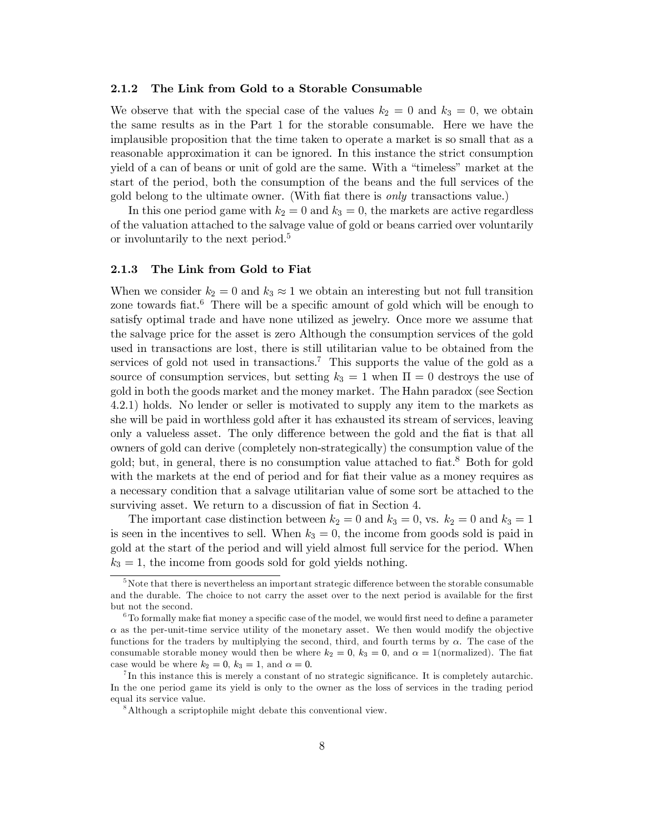#### $2.1.2$ The Link from Gold to a Storable Consumable

We observe that with the special case of the values  $k_2 = 0$  and  $k_3 = 0$ , we obtain the same results as in the Part 1 for the storable consumable. Here we have the implausible proposition that the time taken to operate a market is so small that as a reasonable approximation it can be ignored. In this instance the strict consumption yield of a can of beans or unit of gold are the same. With a "timeless" market at the start of the period, both the consumption of the beans and the full services of the gold belong to the ultimate owner. (With fiat there is *only* transactions value.)

In this one period game with  $k_2 = 0$  and  $k_3 = 0$ , the markets are active regardless of the valuation attached to the salvage value of gold or beans carried over voluntarily or involuntarily to the next period.<sup>5</sup>

#### 2.1.3 The Link from Gold to Fiat

When we consider  $k_2 = 0$  and  $k_3 \approx 1$  we obtain an interesting but not full transition zone towards fiat.<sup>6</sup> There will be a specific amount of gold which will be enough to satisfy optimal trade and have none utilized as jewelry. Once more we assume that the salvage price for the asset is zero Although the consumption services of the gold used in transactions are lost, there is still utilitarian value to be obtained from the services of gold not used in transactions.<sup>7</sup> This supports the value of the gold as a source of consumption services, but setting  $k_3 = 1$  when  $\Pi = 0$  destroys the use of gold in both the goods market and the money market. The Hahn paradox (see Section 4.2.1) holds. No lender or seller is motivated to supply any item to the markets as she will be paid in worthless gold after it has exhausted its stream of services, leaving only a valueless asset. The only difference between the gold and the fiat is that all owners of gold can derive (completely non-strategically) the consumption value of the gold; but, in general, there is no consumption value attached to fiat.<sup>8</sup> Both for gold with the markets at the end of period and for fiat their value as a money requires as a necessary condition that a salvage utilitarian value of some sort be attached to the surviving asset. We return to a discussion of fiat in Section 4.

The important case distinction between  $k_2 = 0$  and  $k_3 = 0$ , vs.  $k_2 = 0$  and  $k_3 = 1$ is seen in the incentives to sell. When  $k_3 = 0$ , the income from goods sold is paid in gold at the start of the period and will yield almost full service for the period. When  $k_3 = 1$ , the income from goods sold for gold yields nothing.

 ${}^{5}$ Note that there is nevertheless an important strategic difference between the storable consumable and the durable. The choice to not carry the asset over to the next period is available for the first but not the second.

 ${}^{6}$  To formally make fiat money a specific case of the model, we would first need to define a parameter  $\alpha$  as the per-unit-time service utility of the monetary asset. We then would modify the objective functions for the traders by multiplying the second, third, and fourth terms by  $\alpha$ . The case of the consumable storable money would then be where  $k_2 = 0$ ,  $k_3 = 0$ , and  $\alpha = 1$  (normalized). The fiat case would be where  $k_2 = 0$ ,  $k_3 = 1$ , and  $\alpha = 0$ .

 ${}^{7}$ In this instance this is merely a constant of no strategic significance. It is completely autarchic. In the one period game its yield is only to the owner as the loss of services in the trading period equal its service value.

<sup>&</sup>lt;sup>8</sup>Although a scriptophile might debate this conventional view.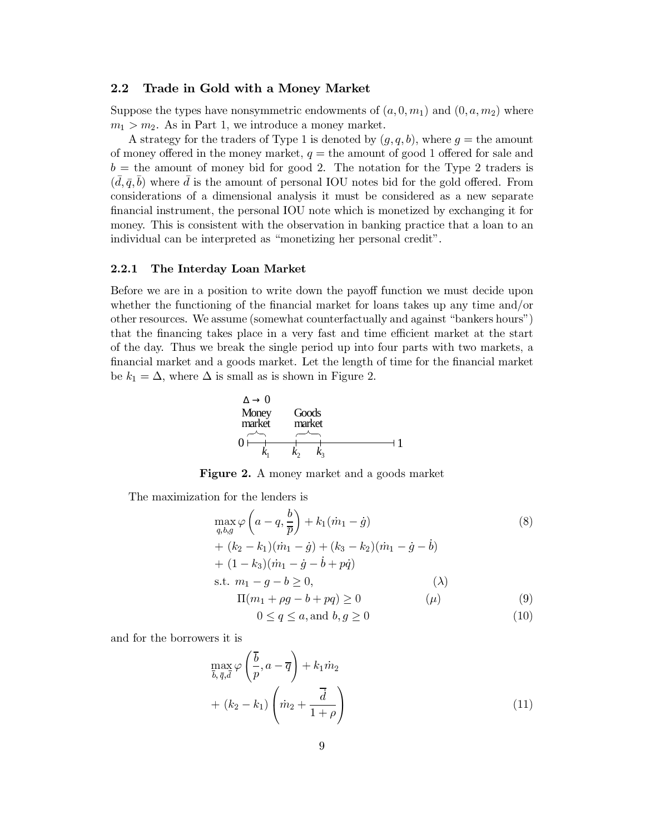#### $2.2$ Trade in Gold with a Money Market

Suppose the types have nonsymmetric endowments of  $(a,0,m_1)$  and  $(0,a,m_2)$  where  $m_1 > m_2$ . As in Part 1, we introduce a money market.

A strategy for the traders of Type 1 is denoted by  $(g, q, b)$ , where  $g =$  the amount of money offered in the money market,  $q =$  the amount of good 1 offered for sale and  $b =$  the amount of money bid for good 2. The notation for the Type 2 traders is  $(\bar{d}, \bar{q}, \bar{b})$  where  $\bar{d}$  is the amount of personal IOU notes bid for the gold offered. From considerations of a dimensional analysis it must be considered as a new separate financial instrument, the personal IOU note which is monetized by exchanging it for money. This is consistent with the observation in banking practice that a loan to an individual can be interpreted as "monetizing her personal credit".

#### $2.2.1$ The Interday Loan Market

Before we are in a position to write down the payoff function we must decide upon whether the functioning of the financial market for loans takes up any time and/or other resources. We assume (somewhat counterfactually and against "bankers hours") that the financing takes place in a very fast and time efficient market at the start of the day. Thus we break the single period up into four parts with two markets, a financial market and a goods market. Let the length of time for the financial market be  $k_1 = \Delta$ , where  $\Delta$  is small as is shown in Figure 2.



Figure 2. A money market and a goods market

The maximization for the lenders is

$$
\max_{q,b,g} \varphi \left( a - q, \frac{b}{\overline{p}} \right) + k_1 (\dot{m}_1 - \dot{g})
$$
\n
$$
+ (k_2 - k_1)(\dot{m}_1 - \dot{g}) + (k_3 - k_2)(\dot{m}_1 - \dot{g} - \dot{b})
$$
\n
$$
+ (1 - k_3)(\dot{m}_1 - \dot{g} - \dot{b} + p\dot{q})
$$
\ns.t.  $m_1 - g - b \ge 0$ ,  
\n $\Pi(m_1 + \rho g - b + pq) \ge 0$  (4) (9)

$$
0 \le q \le a, \text{and } b, g \ge 0 \tag{10}
$$

and for the borrowers it is

$$
\max_{\overline{b}, \overline{q}, \overline{d}} \varphi\left(\frac{\overline{b}}{p}, a - \overline{q}\right) + k_1 \dot{m}_2
$$
  
+  $(k_2 - k_1) \left(\dot{m}_2 + \frac{\overline{d}}{1 + \rho}\right)$  (11)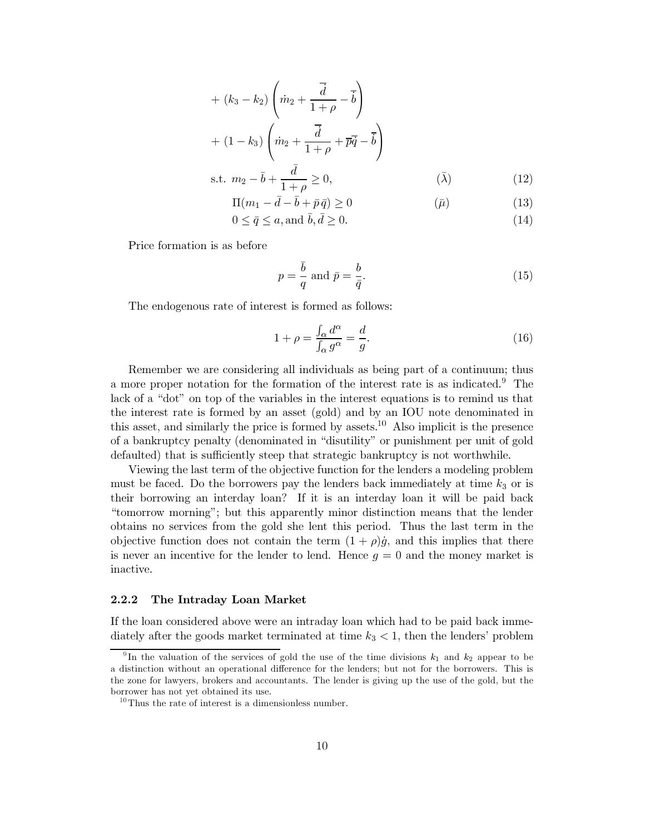+ 
$$
(k_3 - k_2)
$$
  $\left(\dot{m}_2 + \frac{\overline{d}}{1 + \rho} - \overline{b}\right)$   
+  $(1 - k_3)$   $\left(\dot{m}_2 + \frac{\overline{d}}{1 + \rho} + \overline{p}\overline{q} - \overline{b}\right)$   
s.t.  $m_2 - \overline{b} + \frac{\overline{d}}{1 + \rho} \ge 0$ ,  $(\overline{\lambda})$  (12)

$$
\Pi(m_1 - \bar{d} - \bar{b} + \bar{p}\,\bar{q}) \ge 0 \tag{13}
$$

$$
0 \le \bar{q} \le a, \text{and } \bar{b}, \bar{d} \ge 0. \tag{14}
$$

Price formation is as before

$$
p = \frac{\bar{b}}{q} \text{ and } \bar{p} = \frac{b}{\bar{q}}.\tag{15}
$$

The endogenous rate of interest is formed as follows:

$$
1 + \rho = \frac{\int_{\alpha} d^{\alpha}}{\int_{\alpha} g^{\alpha}} = \frac{d}{g}.
$$
\n(16)

Remember we are considering all individuals as being part of a continuum; thus a more proper notation for the formation of the interest rate is as indicated.<sup>9</sup> The lack of a "dot" on top of the variables in the interest equations is to remind us that the interest rate is formed by an asset (gold) and by an IOU note denominated in this asset, and similarly the price is formed by assets.<sup>10</sup> Also implicit is the presence of a bankruptcy penalty (denominated in "disutility" or punishment per unit of gold defaulted) that is sufficiently steep that strategic bankruptcy is not worthwhile.

Viewing the last term of the objective function for the lenders a modeling problem must be faced. Do the borrowers pay the lenders back immediately at time  $k_3$  or is their borrowing an interday loan? If it is an interday loan it will be paid back "tomorrow morning"; but this apparently minor distinction means that the lender obtains no services from the gold she lent this period. Thus the last term in the objective function does not contain the term  $(1 + \rho)\dot{g}$ , and this implies that there is never an incentive for the lender to lend. Hence  $g = 0$  and the money market is inactive.

#### 2.2.2 The Intraday Loan Market

If the loan considered above were an intraday loan which had to be paid back immediately after the goods market terminated at time  $k_3 < 1$ , then the lenders' problem

<sup>&</sup>lt;sup>9</sup>In the valuation of the services of gold the use of the time divisions  $k_1$  and  $k_2$  appear to be a distinction without an operational difference for the lenders; but not for the borrowers. This is the zone for lawyers, brokers and accountants. The lender is giving up the use of the gold, but the borrower has not yet obtained its use.

 $10$  Thus the rate of interest is a dimensionless number.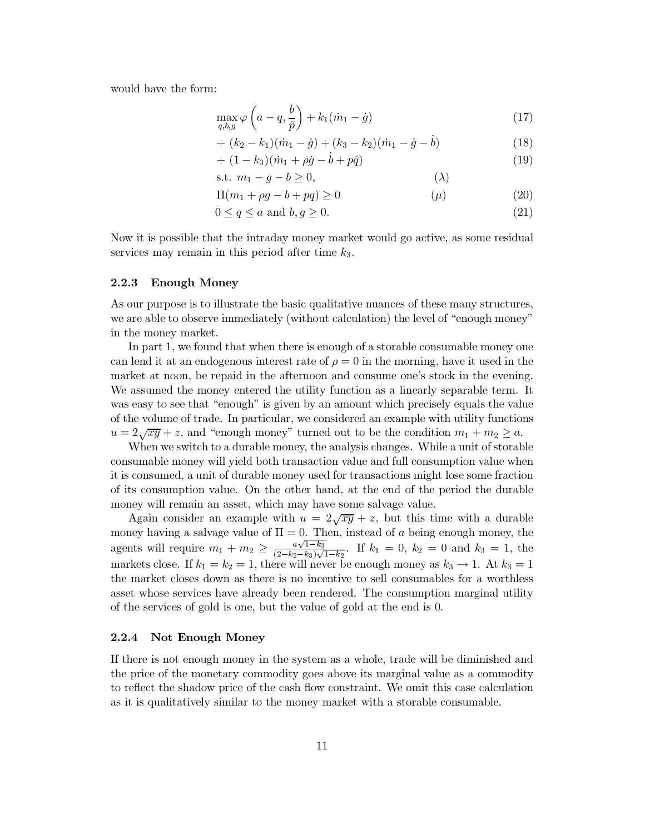would have the form:

$$
\max_{q,b,g} \varphi\left(a-q, \frac{b}{\bar{p}}\right) + k_1(\dot{m}_1 - \dot{g})\tag{17}
$$

+ 
$$
(k_2 - k_1)(\dot{m}_1 - \dot{g}) + (k_3 - k_2)(\dot{m}_1 - \dot{g} - \dot{b})
$$
 (18)

$$
+ (1 - k_3)(\dot{m}_1 + \rho \dot{g} - b + p\dot{q}) \tag{19}
$$

$$
s.t. \t m_1 - g - b \ge 0,
$$
\t\t(\lambda)

$$
\Pi(m_1 + \rho g - b + pq) \ge 0 \tag{20}
$$

$$
0 \le q \le a \text{ and } b, g \ge 0. \tag{21}
$$

Now it is possible that the intraday money market would go active, as some residual services may remain in this period after time  $k_3$ .

#### 2.2.3 **Enough Money**

As our purpose is to illustrate the basic qualitative nuances of these many structures, we are able to observe immediately (without calculation) the level of "enough money" in the money market.

In part 1, we found that when there is enough of a storable consumable money one can lend it at an endogenous interest rate of  $\rho = 0$  in the morning, have it used in the market at noon, be repaid in the afternoon and consume one's stock in the evening. We assumed the money entered the utility function as a linearly separable term. It was easy to see that "enough" is given by an amount which precisely equals the value of the volume of trade. In particular, we considered an example with utility functions  $u = 2\sqrt{xy} + z$ , and "enough money" turned out to be the condition  $m_1 + m_2 \ge a$ .

When we switch to a durable money, the analysis changes. While a unit of storable consumable money will yield both transaction value and full consumption value when it is consumed, a unit of durable money used for transactions might lose some fraction of its consumption value. On the other hand, at the end of the period the durable money will remain an asset, which may have some salvage value.

Again consider an example with  $u = 2\sqrt{xy} + z$ , but this time with a durable money having a salvage value of  $\Pi = 0$ . Then, instead of a being enough money, the agents will require  $m_1 + m_2 \ge \frac{a\sqrt{1-k_3}}{(2-k_2-k_3)\sqrt{1-k_2}}$ . If  $k_1 = 0$ ,  $k_2 = 0$  and  $k_3 = 1$ , the markets close. If  $k_1 = k_2 = 1$ , there will never be enough money as  $k_3 \rightarrow 1$ . At  $k_3 = 1$ the market closes down as there is no incentive to sell consumables for a worthless asset whose services have already been rendered. The consumption marginal utility of the services of gold is one, but the value of gold at the end is 0.

#### $2.2.4$ **Not Enough Money**

If there is not enough money in the system as a whole, trade will be diminished and the price of the monetary commodity goes above its marginal value as a commodity to reflect the shadow price of the cash flow constraint. We omit this case calculation as it is qualitatively similar to the money market with a storable consumable.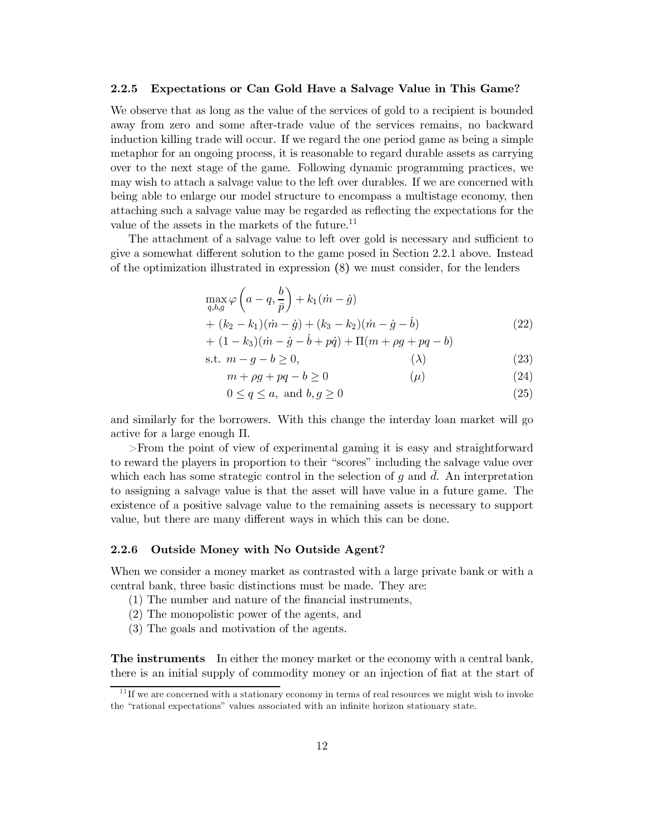#### $2.2.5$ Expectations or Can Gold Have a Salvage Value in This Game?

We observe that as long as the value of the services of gold to a recipient is bounded away from zero and some after-trade value of the services remains, no backward induction killing trade will occur. If we regard the one period game as being a simple metaphor for an ongoing process, it is reasonable to regard durable assets as carrying over to the next stage of the game. Following dynamic programming practices, we may wish to attach a salvage value to the left over durables. If we are concerned with being able to enlarge our model structure to encompass a multistage economy, then attaching such a salvage value may be regarded as reflecting the expectations for the value of the assets in the markets of the future. $^{11}$ 

The attachment of a salvage value to left over gold is necessary and sufficient to give a somewhat different solution to the game posed in Section 2.2.1 above. Instead of the optimization illustrated in expression (8) we must consider, for the lenders

$$
\max_{q,b,g} \varphi \left( a - q, \frac{b}{\bar{p}} \right) + k_1 (\dot{m} - \dot{g}) \n+ (k_2 - k_1)(\dot{m} - \dot{g}) + (k_3 - k_2)(\dot{m} - \dot{g} - \dot{b}) \n+ (1 - k_3)(\dot{m} - \dot{g} - \dot{b} + p\dot{q}) + \Pi (m + \rho g + pq - b)
$$
\n(22)

$$
\text{s.t. } m - g - b \ge 0,\tag{23}
$$

- $m + \rho g + pq b \geq 0$  $(\mu)$  $(24)$
- $0 \le q \le a$ , and  $b, g \ge 0$  $(25)$

and similarly for the borrowers. With this change the interday loan market will go active for a large enough  $\Pi$ .

 $>$ From the point of view of experimental gaming it is easy and straightforward to reward the players in proportion to their "scores" including the salvage value over which each has some strategic control in the selection of q and  $\overline{d}$ . An interpretation to assigning a salvage value is that the asset will have value in a future game. The existence of a positive salvage value to the remaining assets is necessary to support value, but there are many different ways in which this can be done.

#### Outside Money with No Outside Agent? 2.2.6

When we consider a money market as contrasted with a large private bank or with a central bank, three basic distinctions must be made. They are:

- (1) The number and nature of the financial instruments.
- (2) The monopolistic power of the agents, and
- (3) The goals and motivation of the agents.

**The instruments** In either the money market or the economy with a central bank, there is an initial supply of commodity money or an injection of fiat at the start of

 $11$  If we are concerned with a stationary economy in terms of real resources we might wish to invoke the "rational expectations" values associated with an infinite horizon stationary state.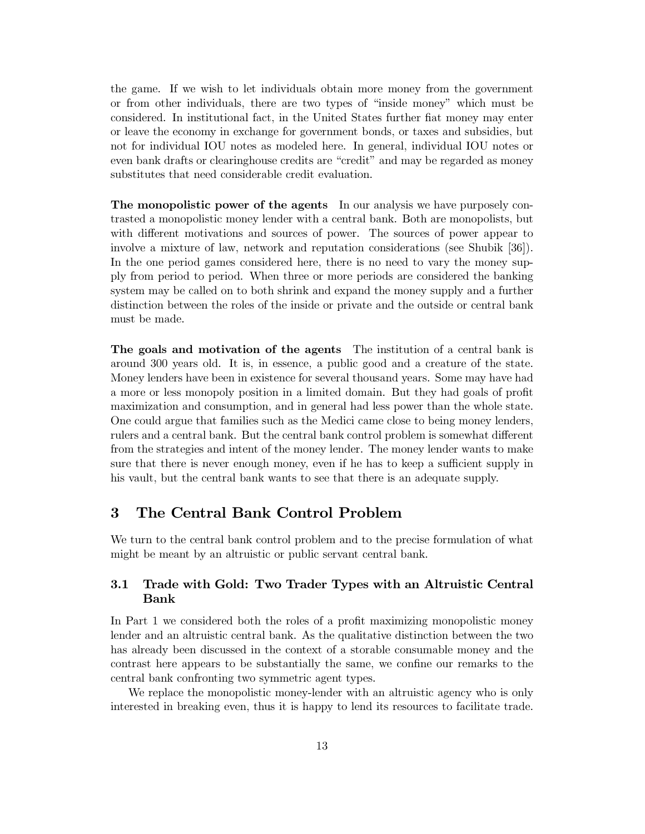the game. If we wish to let individuals obtain more money from the government or from other individuals, there are two types of "inside money" which must be considered. In institutional fact, in the United States further fiat money may enter or leave the economy in exchange for government bonds, or taxes and subsidies, but not for individual IOU notes as modeled here. In general, individual IOU notes or even bank drafts or clearinghouse credits are "credit" and may be regarded as money substitutes that need considerable credit evaluation.

The monopolistic power of the agents In our analysis we have purposely contrasted a monopolistic money lender with a central bank. Both are monopolists, but with different motivations and sources of power. The sources of power appear to involve a mixture of law, network and reputation considerations (see Shubik [36]). In the one period games considered here, there is no need to vary the money supply from period to period. When three or more periods are considered the banking system may be called on to both shrink and expand the money supply and a further distinction between the roles of the inside or private and the outside or central bank must be made.

The goals and motivation of the agents The institution of a central bank is around 300 years old. It is, in essence, a public good and a creature of the state. Money lenders have been in existence for several thousand years. Some may have had a more or less monopoly position in a limited domain. But they had goals of profit maximization and consumption, and in general had less power than the whole state. One could argue that families such as the Medici came close to being money lenders, rulers and a central bank. But the central bank control problem is somewhat different from the strategies and intent of the money lender. The money lender wants to make sure that there is never enough money, even if he has to keep a sufficient supply in his vault, but the central bank wants to see that there is an adequate supply.

#### 3 The Central Bank Control Problem

We turn to the central bank control problem and to the precise formulation of what might be meant by an altruistic or public servant central bank.

### 3.1 Trade with Gold: Two Trader Types with an Altruistic Central **Bank**

In Part 1 we considered both the roles of a profit maximizing monopolistic money lender and an altruistic central bank. As the qualitative distinction between the two has already been discussed in the context of a storable consumable money and the contrast here appears to be substantially the same, we confine our remarks to the central bank confronting two symmetric agent types.

We replace the monopolistic money-lender with an altruistic agency who is only interested in breaking even, thus it is happy to lend its resources to facilitate trade.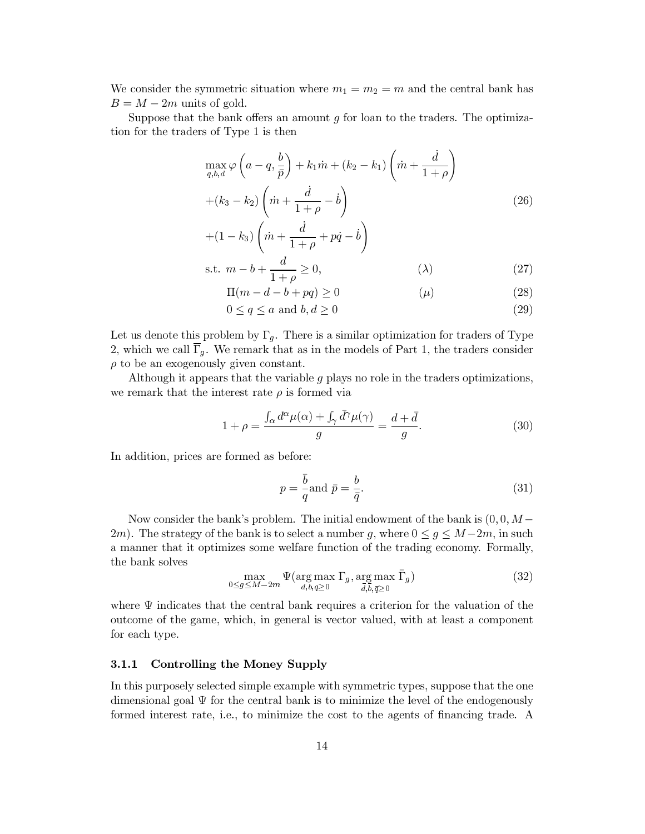We consider the symmetric situation where  $m_1 = m_2 = m$  and the central bank has  $B = M - 2m$  units of gold.

Suppose that the bank offers an amount  $g$  for loan to the traders. The optimization for the traders of Type 1 is then

$$
\max_{q,b,d} \varphi\left(a-q, \frac{b}{\bar{p}}\right) + k_1 \dot{m} + (k_2 - k_1) \left(\dot{m} + \frac{\dot{d}}{1+\rho}\right)
$$

$$
+ (k_3 - k_2) \left(\dot{m} + \frac{\dot{d}}{1+\rho} - \dot{b}\right)
$$
(26)

$$
+(1-k_3)\left(\dot{m}+\frac{\dot{d}}{1+\rho}+p\dot{q}-\dot{b}\right)
$$

$$
\text{s.t. } m - b + \frac{a}{1 + \rho} \ge 0,\tag{27}
$$

$$
\Pi(m - d - b + pq) \ge 0 \tag{28}
$$

$$
0 \le q \le a \text{ and } b, d \ge 0 \tag{29}
$$

Let us denote this problem by  $\Gamma_g$ . There is a similar optimization for traders of Type 2, which we call  $\overline{\Gamma}_q$ . We remark that as in the models of Part 1, the traders consider  $\rho$  to be an exogenously given constant.

Although it appears that the variable  $g$  plays no role in the traders optimizations, we remark that the interest rate  $\rho$  is formed via

$$
1 + \rho = \frac{\int_{\alpha} d^{\alpha} \mu(\alpha) + \int_{\gamma} \bar{d}^{\gamma} \mu(\gamma)}{g} = \frac{d + \bar{d}}{g}.
$$
 (30)

In addition, prices are formed as before:

$$
p = \frac{\bar{b}}{q} \text{and } \bar{p} = \frac{b}{\bar{q}}.\tag{31}
$$

Now consider the bank's problem. The initial endowment of the bank is  $(0,0,M-$ 2m). The strategy of the bank is to select a number g, where  $0 \le g \le M-2m$ , in such a manner that it optimizes some welfare function of the trading economy. Formally, the bank solves

$$
\max_{0 \le g \le M-2m} \Psi(\arg\max_{d,b,q \ge 0} \Gamma_g, \arg\max_{\bar{d},\bar{b},\bar{q} \ge 0} \bar{\Gamma}_g)
$$
(32)

where  $\Psi$  indicates that the central bank requires a criterion for the valuation of the outcome of the game, which, in general is vector valued, with at least a component for each type.

#### 3.1.1 Controlling the Money Supply

In this purposely selected simple example with symmetric types, suppose that the one dimensional goal  $\Psi$  for the central bank is to minimize the level of the endogenously formed interest rate, i.e., to minimize the cost to the agents of financing trade. A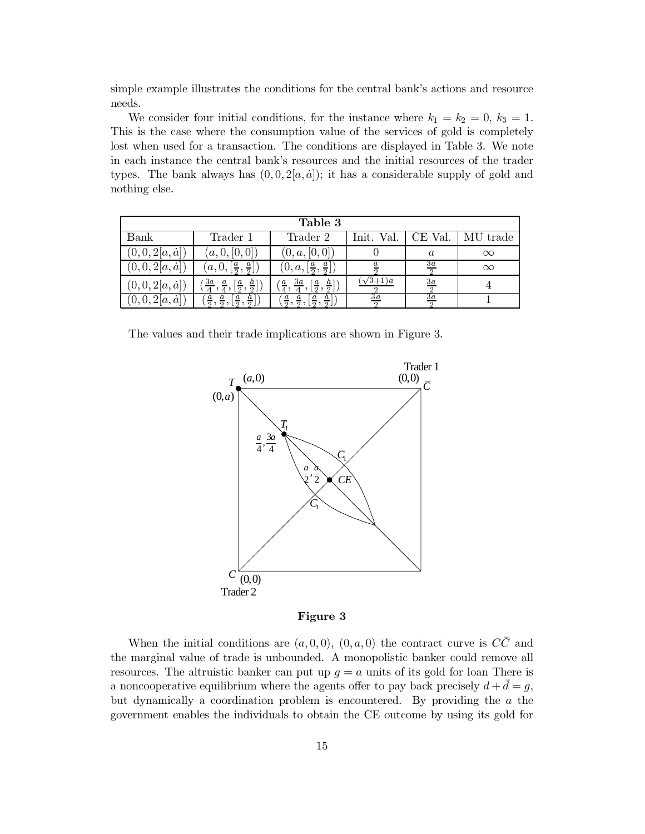simple example illustrates the conditions for the central bank's actions and resource needs.

We consider four initial conditions, for the instance where  $k_1 = k_2 = 0, k_3 = 1$ . This is the case where the consumption value of the services of gold is completely lost when used for a transaction. The conditions are displayed in Table 3. We note in each instance the central bank's resources and the initial resources of the trader types. The bank always has  $(0,0,2[a,a])$ ; it has a considerable supply of gold and nothing else.

| Table 3              |                                                 |                                                          |                 |                  |          |
|----------------------|-------------------------------------------------|----------------------------------------------------------|-----------------|------------------|----------|
| Bank                 | Trader 1                                        | Trader 2                                                 | Init. Val.      | CE Val.          | MU trade |
| $(0,0,2[a,\dot{a}])$ | (a, 0, [0, 0])                                  | (0, a, [0, 0])                                           |                 | $\boldsymbol{a}$ | $\infty$ |
| $(0,0,2[a,\dot{a}])$ | $(a,0, \left[\frac{a}{2}, \frac{a}{2}\right])$  | $(0, a, \lceil \frac{a}{2}, \frac{a}{2} \rceil]$         |                 | $rac{3a}{2}$     | $\infty$ |
| $(0,0,2[a,\dot{a}])$ | $\sqrt{3a}$<br>$\frac{a}{2}$ ,<br>$\frac{a}{2}$ | За<br>$\overline{a}$<br>$\overline{a}$<br>$\overline{a}$ | $(3+1)a$        | $\frac{3a}{2}$   |          |
| $(0,0,2[a,\dot{a}])$ | $\overline{a}$                                  |                                                          | $\overline{3a}$ | $\overline{3a}$  |          |

The values and their trade implications are shown in Figure 3.



Figure 3

When the initial conditions are  $(a,0,0), (0,a,0)$  the contract curve is  $C\overline{C}$  and the marginal value of trade is unbounded. A monopolistic banker could remove all resources. The altruistic banker can put up  $g = a$  units of its gold for loan There is a noncooperative equilibrium where the agents offer to pay back precisely  $d + \bar{d} = g$ , but dynamically a coordination problem is encountered. By providing the  $a$  the government enables the individuals to obtain the CE outcome by using its gold for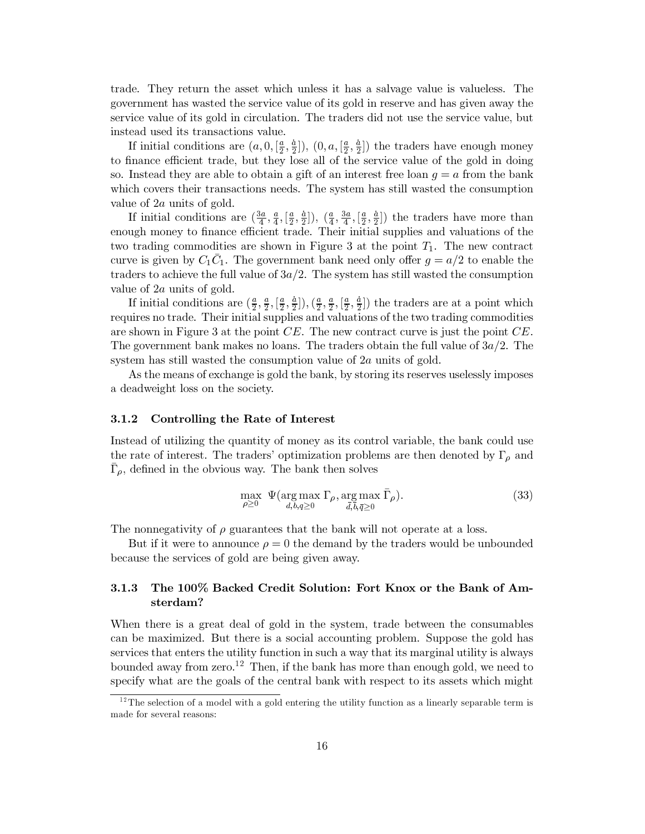trade. They return the asset which unless it has a salvage value is valueless. The government has wasted the service value of its gold in reserve and has given away the service value of its gold in circulation. The traders did not use the service value, but instead used its transactions value.

If initial conditions are  $(a, 0, [\frac{a}{2}, \frac{a}{2}])$ ,  $(0, a, [\frac{a}{2}, \frac{a}{2}])$  the traders have enough money to finance efficient trade, but they lose all of the service value of the gold in doing so. Instead they are able to obtain a gift of an interest free loan  $q = a$  from the bank which covers their transactions needs. The system has still wasted the consumption value of  $2a$  units of gold.

If initial conditions are  $(\frac{3a}{4}, \frac{a}{4}, \left[\frac{a}{2}, \frac{\dot{a}}{2}\right])$ ,  $(\frac{a}{4}, \frac{3a}{4}, \left[\frac{a}{2}, \frac{\dot{a}}{2}\right])$  the traders have more than enough money to finance efficient trade. Their initial supplies and valuations of the two trading commodities are shown in Figure 3 at the point  $T_1$ . The new contract curve is given by  $C_1\overline{C}_1$ . The government bank need only offer  $g = a/2$  to enable the traders to achieve the full value of  $3a/2$ . The system has still wasted the consumption value of  $2a$  units of gold.

If initial conditions are  $(\frac{a}{2}, \frac{a}{2}, \left[\frac{a}{2}, \frac{a}{2}\right])$ ,  $(\frac{a}{2}, \frac{a}{2}, \left[\frac{a}{2}, \frac{a}{2}\right])$  the traders are at a point which requires no trade. Their initial supplies and valuations of the two trading commodities are shown in Figure 3 at the point  $CE$ . The new contract curve is just the point  $CE$ . The government bank makes no loans. The traders obtain the full value of  $3a/2$ . The system has still wasted the consumption value of  $2a$  units of gold.

As the means of exchange is gold the bank, by storing its reserves uselessly imposes a deadweight loss on the society.

#### Controlling the Rate of Interest  $3.1.2$

Instead of utilizing the quantity of money as its control variable, the bank could use the rate of interest. The traders' optimization problems are then denoted by  $\Gamma_{\rho}$  and  $\Gamma_{\rho}$ , defined in the obvious way. The bank then solves

$$
\max_{\rho \ge 0} \ \Psi(\arg \max_{d,b,q \ge 0} \Gamma_{\rho}, \arg \max_{\bar{d}, \bar{b}, \bar{q} \ge 0} \bar{\Gamma}_{\rho}). \tag{33}
$$

The nonnegativity of  $\rho$  guarantees that the bank will not operate at a loss.

But if it were to announce  $\rho = 0$  the demand by the traders would be unbounded because the services of gold are being given away.

### The 100% Backed Credit Solution: Fort Knox or the Bank of Am-3.1.3 sterdam?

When there is a great deal of gold in the system, trade between the consumables can be maximized. But there is a social accounting problem. Suppose the gold has services that enters the utility function in such a way that its marginal utility is always bounded away from zero.<sup>12</sup> Then, if the bank has more than enough gold, we need to specify what are the goals of the central bank with respect to its assets which might

 $12$ The selection of a model with a gold entering the utility function as a linearly separable term is made for several reasons: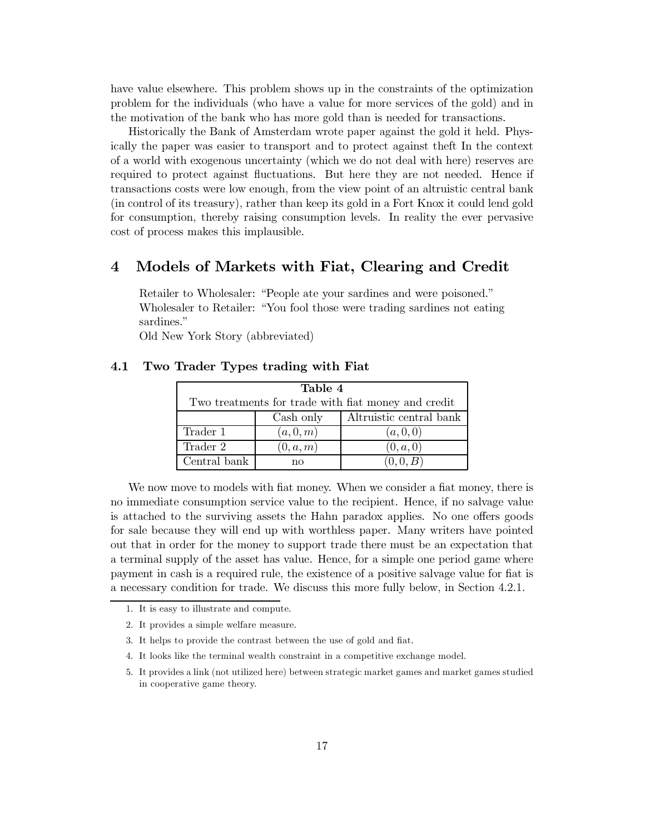have value elsewhere. This problem shows up in the constraints of the optimization problem for the individuals (who have a value for more services of the gold) and in the motivation of the bank who has more gold than is needed for transactions.

Historically the Bank of Amsterdam wrote paper against the gold it held. Physically the paper was easier to transport and to protect against the f In the context of a world with exogenous uncertainty (which we do not deal with here) reserves are required to protect against fluctuations. But here they are not needed. Hence if transactions costs were low enough, from the view point of an altruistic central bank (in control of its treasury), rather than keep its gold in a Fort Knox it could lend gold for consumption, thereby raising consumption levels. In reality the ever pervasive cost of process makes this implausible.

#### Models of Markets with Fiat, Clearing and Credit  $\boldsymbol{4}$

Retailer to Wholesaler: "People ate your sardines and were poisoned." Wholesaler to Retailer: "You fool those were trading sardines not eating sardines."

Old New York Story (abbreviated)

| Table 4                                             |           |                         |  |  |
|-----------------------------------------------------|-----------|-------------------------|--|--|
| Two treatments for trade with fiat money and credit |           |                         |  |  |
|                                                     | Cash only | Altruistic central bank |  |  |
| Trader 1                                            | (a,0,m)   | (a, 0, 0)               |  |  |
| Trader 2                                            | (0, a, m) | (0, a, 0)               |  |  |
| Central bank                                        | nο        | (0, 0, B)               |  |  |

#### $4.1$ Two Trader Types trading with Fiat

We now move to models with fiat money. When we consider a fiat money, there is no immediate consumption service value to the recipient. Hence, if no salvage value is attached to the surviving assets the Hahn paradox applies. No one offers goods for sale because they will end up with worthless paper. Many writers have pointed out that in order for the money to support trade there must be an expectation that a terminal supply of the asset has value. Hence, for a simple one period game where payment in cash is a required rule, the existence of a positive salvage value for fiat is a necessary condition for trade. We discuss this more fully below, in Section 4.2.1.

- 1. It is easy to illustrate and compute.
- 2. It provides a simple welfare measure.
- 3. It helps to provide the contrast between the use of gold and fiat.
- 4. It looks like the terminal wealth constraint in a competitive exchange model.
- 5. It provides a link (not utilized here) between strategic market games and market games studied in cooperative game theory.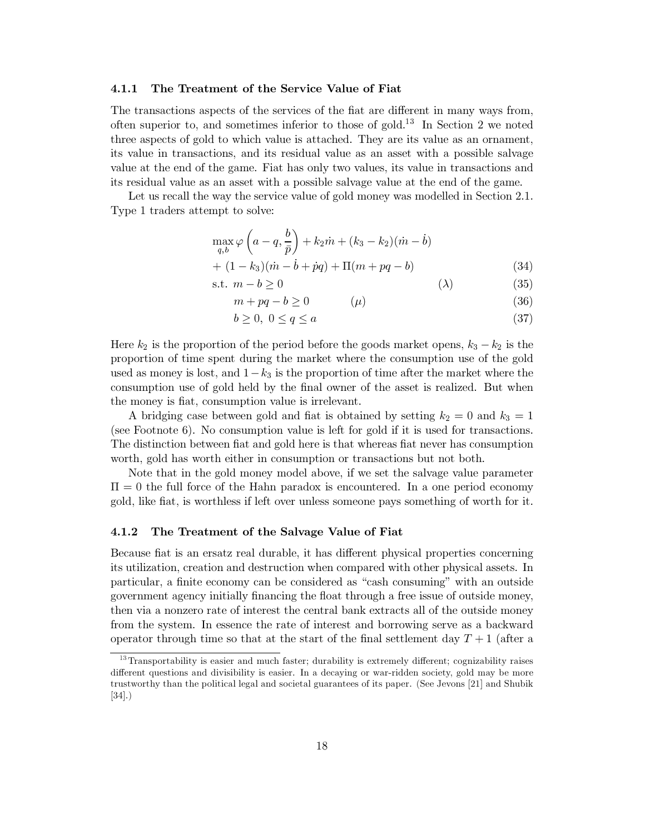#### $4.1.1$ The Treatment of the Service Value of Fiat

The transactions aspects of the services of the fiat are different in many ways from. often superior to, and sometimes inferior to those of gold.<sup>13</sup> In Section 2 we noted three aspects of gold to which value is attached. They are its value as an ornament, its value in transactions, and its residual value as an asset with a possible salvage value at the end of the game. Fiat has only two values, its value in transactions and its residual value as an asset with a possible salvage value at the end of the game.

Let us recall the way the service value of gold money was modelled in Section 2.1. Type 1 traders attempt to solve:

$$
\max_{q,b} \varphi \left( a - q, \frac{b}{\bar{p}} \right) + k_2 \dot{m} + (k_3 - k_2)(\dot{m} - \dot{b}) + (1 - k_3)(\dot{m} - \dot{b} + \dot{p}q) + \Pi(m + pq - b)
$$
\n(34)

$$
\text{s.t. } m - b \ge 0 \tag{35}
$$

$$
m + pq - b \ge 0 \qquad (\mu) \tag{36}
$$

$$
b \ge 0, \ 0 \le q \le a \tag{37}
$$

Here  $k_2$  is the proportion of the period before the goods market opens,  $k_3 - k_2$  is the proportion of time spent during the market where the consumption use of the gold used as money is lost, and  $1-k_3$  is the proportion of time after the market where the consumption use of gold held by the final owner of the asset is realized. But when the money is flat, consumption value is irrelevant.

A bridging case between gold and fiat is obtained by setting  $k_2 = 0$  and  $k_3 = 1$ (see Footnote 6). No consumption value is left for gold if it is used for transactions. The distinction between fiat and gold here is that whereas fiat never has consumption worth, gold has worth either in consumption or transactions but not both.

Note that in the gold money model above, if we set the salvage value parameter  $\Pi = 0$  the full force of the Hahn paradox is encountered. In a one period economy gold, like fiat, is worthless if left over unless someone pays something of worth for it.

#### The Treatment of the Salvage Value of Fiat 4.1.2

Because fiat is an ersatz real durable, it has different physical properties concerning its utilization, creation and destruction when compared with other physical assets. In particular, a finite economy can be considered as "cash consuming" with an outside government agency initially financing the float through a free issue of outside money, then via a nonzero rate of interest the central bank extracts all of the outside money from the system. In essence the rate of interest and borrowing serve as a backward operator through time so that at the start of the final settlement day  $T+1$  (after a

<sup>&</sup>lt;sup>13</sup>Transportability is easier and much faster; durability is extremely different; cognizability raises different questions and divisibility is easier. In a decaying or war-ridden society, gold may be more trustworthy than the political legal and societal guarantees of its paper. (See Jevons [21] and Shubik  $[34]$ .)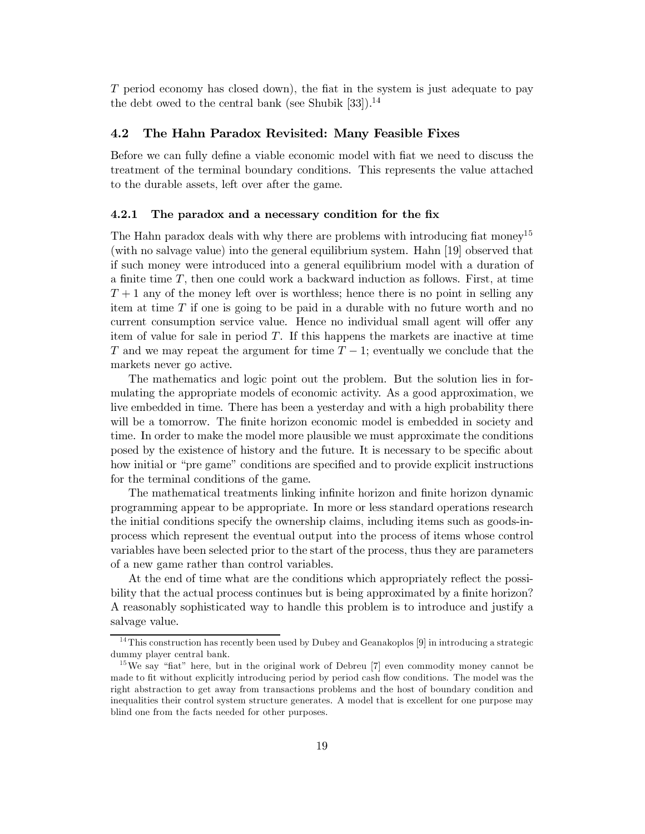T period economy has closed down), the fiat in the system is just adequate to pay the debt owed to the central bank (see Shubik [33]).<sup>14</sup>

#### 4.2 The Hahn Paradox Revisited: Many Feasible Fixes

Before we can fully define a viable economic model with fiat we need to discuss the treatment of the terminal boundary conditions. This represents the value attached to the durable assets, left over after the game.

#### The paradox and a necessary condition for the fix  $4.2.1$

The Hahn paradox deals with why there are problems with introducing fiat money<sup>15</sup> (with no salvage value) into the general equilibrium system. Hahn [19] observed that if such money were introduced into a general equilibrium model with a duration of a finite time  $T$ , then one could work a backward induction as follows. First, at time  $T+1$  any of the money left over is worthless; hence there is no point in selling any item at time  $T$  if one is going to be paid in a durable with no future worth and no current consumption service value. Hence no individual small agent will offer any item of value for sale in period  $T$ . If this happens the markets are inactive at time T and we may repeat the argument for time  $T-1$ ; eventually we conclude that the markets never go active.

The mathematics and logic point out the problem. But the solution lies in formulating the appropriate models of economic activity. As a good approximation, we live embedded in time. There has been a yesterday and with a high probability there will be a tomorrow. The finite horizon economic model is embedded in society and time. In order to make the model more plausible we must approximate the conditions posed by the existence of history and the future. It is necessary to be specific about how initial or "pre game" conditions are specified and to provide explicit instructions for the terminal conditions of the game.

The mathematical treatments linking infinite horizon and finite horizon dynamic programming appear to be appropriate. In more or less standard operations research the initial conditions specify the ownership claims, including items such as goods-inprocess which represent the eventual output into the process of items whose control variables have been selected prior to the start of the process, thus they are parameters of a new game rather than control variables.

At the end of time what are the conditions which appropriately reflect the possibility that the actual process continues but is being approximated by a finite horizon? A reasonably sophisticated way to handle this problem is to introduce and justify a salvage value.

<sup>&</sup>lt;sup>14</sup>This construction has recently been used by Dubey and Geanakoplos [9] in introducing a strategic dummy player central bank.

<sup>&</sup>lt;sup>15</sup>We say "fiat" here, but in the original work of Debreu [7] even commodity money cannot be made to fit without explicitly introducing period by period cash flow conditions. The model was the right abstraction to get away from transactions problems and the host of boundary condition and inequalities their control system structure generates. A model that is excellent for one purpose may blind one from the facts needed for other purposes.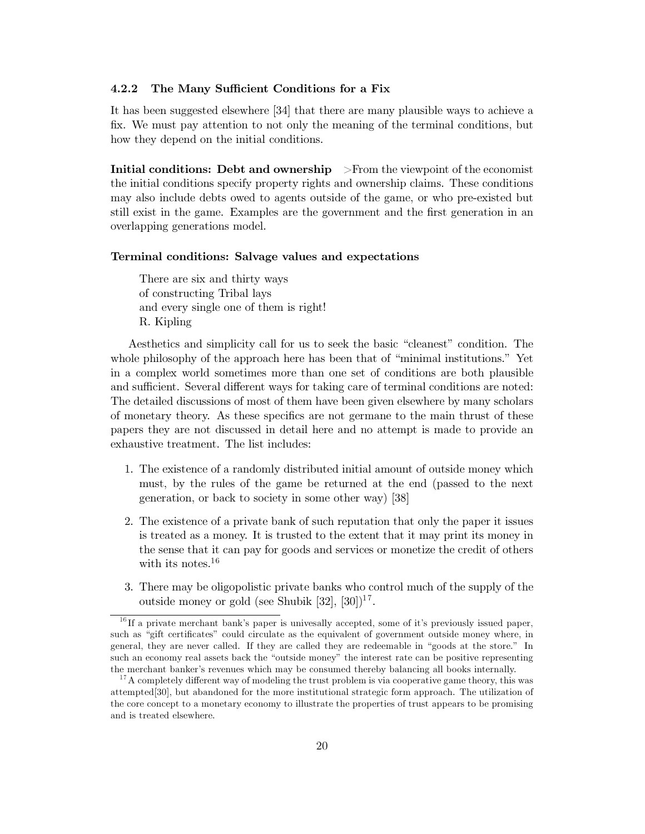#### $4.2.2$ The Many Sufficient Conditions for a Fix

It has been suggested elsewhere [34] that there are many plausible ways to achieve a fix. We must pay attention to not only the meaning of the terminal conditions, but how they depend on the initial conditions.

Initial conditions: Debt and ownership >From the viewpoint of the economist the initial conditions specify property rights and ownership claims. These conditions may also include debts owed to agents outside of the game, or who pre-existed but still exist in the game. Examples are the government and the first generation in an overlapping generations model.

# Terminal conditions: Salvage values and expectations

There are six and thirty ways of constructing Tribal lays and every single one of them is right! R. Kipling

Aesthetics and simplicity call for us to seek the basic "cleanest" condition. The whole philosophy of the approach here has been that of "minimal institutions." Yet in a complex world sometimes more than one set of conditions are both plausible and sufficient. Several different ways for taking care of terminal conditions are noted: The detailed discussions of most of them have been given elsewhere by many scholars of monetary theory. As these specifics are not germane to the main thrust of these papers they are not discussed in detail here and no attempt is made to provide an exhaustive treatment. The list includes:

- 1. The existence of a randomly distributed initial amount of outside money which must, by the rules of the game be returned at the end (passed to the next generation, or back to society in some other way) [38]
- 2. The existence of a private bank of such reputation that only the paper it issues is treated as a money. It is trusted to the extent that it may print its money in the sense that it can pay for goods and services or monetize the credit of others with its notes.  $16$
- 3. There may be oligopolistic private banks who control much of the supply of the outside money or gold (see Shubik [32], [30])<sup>17</sup>.

<sup>&</sup>lt;sup> $16$ </sup>If a private merchant bank's paper is universally accepted, some of it's previously issued paper, such as "gift certificates" could circulate as the equivalent of government outside money where, in general, they are never called. If they are called they are redeemable in "goods at the store." In such an economy real assets back the "outside money" the interest rate can be positive representing the merchant banker's revenues which may be consumed thereby balancing all books internally.

<sup>&</sup>lt;sup>17</sup>A completely different way of modeling the trust problem is via cooperative game theory, this was attempted<sup>[30]</sup>, but abandoned for the more institutional strategic form approach. The utilization of the core concept to a monetary economy to illustrate the properties of trust appears to be promising and is treated elsewhere.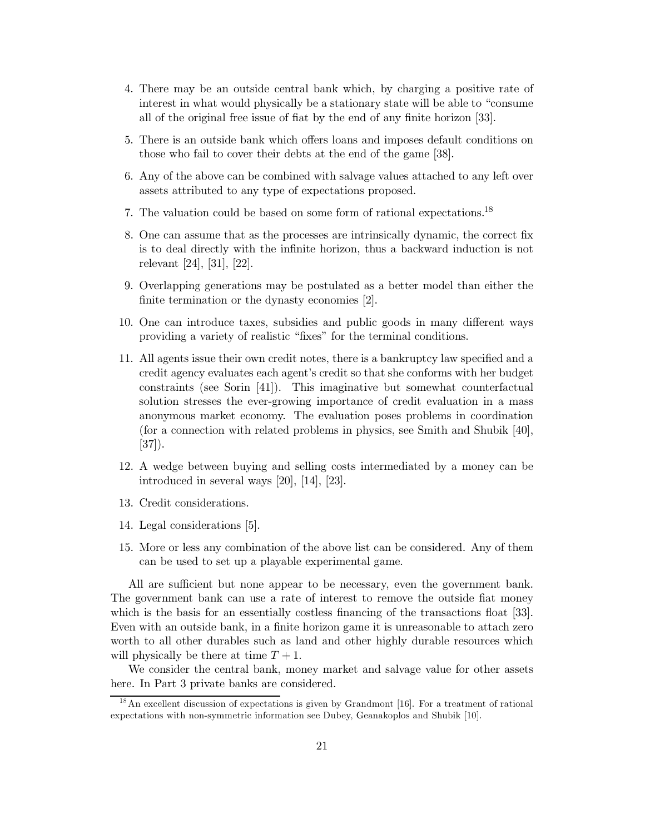- 4. There may be an outside central bank which, by charging a positive rate of interest in what would physically be a stationary state will be able to "consume all of the original free issue of fiat by the end of any finite horizon [33].
- 5. There is an outside bank which offers loans and imposes default conditions on those who fail to cover their debts at the end of the game [38].
- 6. Any of the above can be combined with salvage values attached to any left over assets attributed to any type of expectations proposed.
- 7. The valuation could be based on some form of rational expectations.<sup>18</sup>
- 8. One can assume that as the processes are intrinsically dynamic, the correct fix is to deal directly with the infinite horizon, thus a backward induction is not relevant [24], [31], [22].
- 9. Overlapping generations may be postulated as a better model than either the finite termination or the dynasty economies [2].
- 10. One can introduce taxes, subsidies and public goods in many different ways providing a variety of realistic "fixes" for the terminal conditions.
- 11. All agents issue their own credit notes, there is a bankruptcy law specified and a credit agency evaluates each agent's credit so that she conforms with her budget constraints (see Sorin [41]). This imaginative but somewhat counterfactual solution stresses the ever-growing importance of credit evaluation in a mass anonymous market economy. The evaluation poses problems in coordination (for a connection with related problems in physics, see Smith and Shubik [40],  $[37]$ .
- 12. A wedge between buying and selling costs intermediated by a money can be introduced in several ways  $[20]$ ,  $[14]$ ,  $[23]$ .
- 13. Credit considerations.
- 14. Legal considerations [5].
- 15. More or less any combination of the above list can be considered. Any of them can be used to set up a playable experimental game.

All are sufficient but none appear to be necessary, even the government bank. The government bank can use a rate of interest to remove the outside fiat money which is the basis for an essentially costless financing of the transactions float [33]. Even with an outside bank, in a finite horizon game it is unreasonable to attach zero worth to all other durables such as land and other highly durable resources which will physically be there at time  $T + 1$ .

We consider the central bank, money market and salvage value for other assets here. In Part 3 private banks are considered.

 $1<sup>8</sup>$  An excellent discussion of expectations is given by Grandmont [16]. For a treatment of rational expectations with non-symmetric information see Dubey, Geanakoplos and Shubik [10].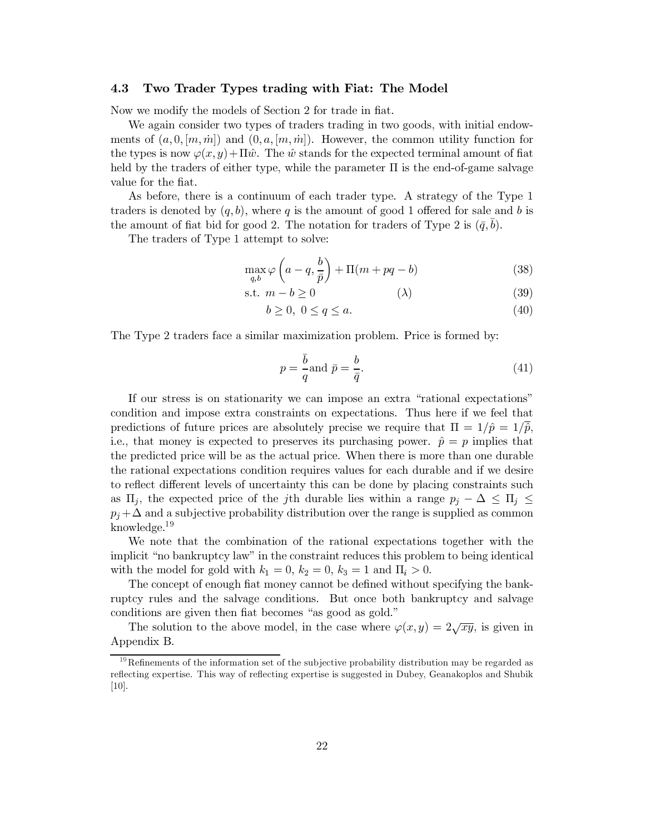#### Two Trader Types trading with Fiat: The Model 4.3

Now we modify the models of Section 2 for trade in flat.

We again consider two types of traders trading in two goods, with initial endowments of  $(a,0,[m,m])$  and  $(0,a,[m,m])$ . However, the common utility function for the types is now  $\varphi(x, y) + \Pi \hat{w}$ . The  $\hat{w}$  stands for the expected terminal amount of fiat held by the traders of either type, while the parameter  $\Pi$  is the end-of-game salvage value for the fiat.

As before, there is a continuum of each trader type. A strategy of the Type 1 traders is denoted by  $(q, b)$ , where q is the amount of good 1 offered for sale and b is the amount of fiat bid for good 2. The notation for traders of Type 2 is  $(\bar{q}, \bar{b})$ .

The traders of Type 1 attempt to solve:

$$
\max_{q,b} \varphi\left(a-q, \frac{b}{\bar{p}}\right) + \Pi(m+pq-b) \tag{38}
$$

$$
\text{s.t. } m - b \ge 0 \tag{39}
$$

$$
b \ge 0, \ 0 \le q \le a. \tag{40}
$$

The Type 2 traders face a similar maximization problem. Price is formed by:

$$
p = \frac{\bar{b}}{q} \text{and } \bar{p} = \frac{b}{\bar{q}}.\tag{41}
$$

If our stress is on stationarity we can impose an extra "rational expectations" condition and impose extra constraints on expectations. Thus here if we feel that predictions of future prices are absolutely precise we require that  $\Pi = 1/\hat{p} = 1/\overline{\hat{p}}$ , i.e., that money is expected to preserves its purchasing power.  $\hat{p} = p$  implies that the predicted price will be as the actual price. When there is more than one durable the rational expectations condition requires values for each durable and if we desire to reflect different levels of uncertainty this can be done by placing constraints such as  $\Pi_i$ , the expected price of the *j*th durable lies within a range  $p_i - \Delta \leq \Pi_i \leq$  $p_i + \Delta$  and a subjective probability distribution over the range is supplied as common knowledge. $19$ 

We note that the combination of the rational expectations together with the implicit "no bankruptcy law" in the constraint reduces this problem to being identical with the model for gold with  $k_1 = 0$ ,  $k_2 = 0$ ,  $k_3 = 1$  and  $\Pi_i > 0$ .

The concept of enough fiat money cannot be defined without specifying the bankruptcy rules and the salvage conditions. But once both bankruptcy and salvage conditions are given then fiat becomes "as good as gold."

The solution to the above model, in the case where  $\varphi(x,y) = 2\sqrt{xy}$ , is given in Appendix B.

<sup>&</sup>lt;sup>19</sup>Refinements of the information set of the subjective probability distribution may be regarded as reflecting expertise. This way of reflecting expertise is suggested in Dubey, Geanakoplos and Shubik  $[10]$ .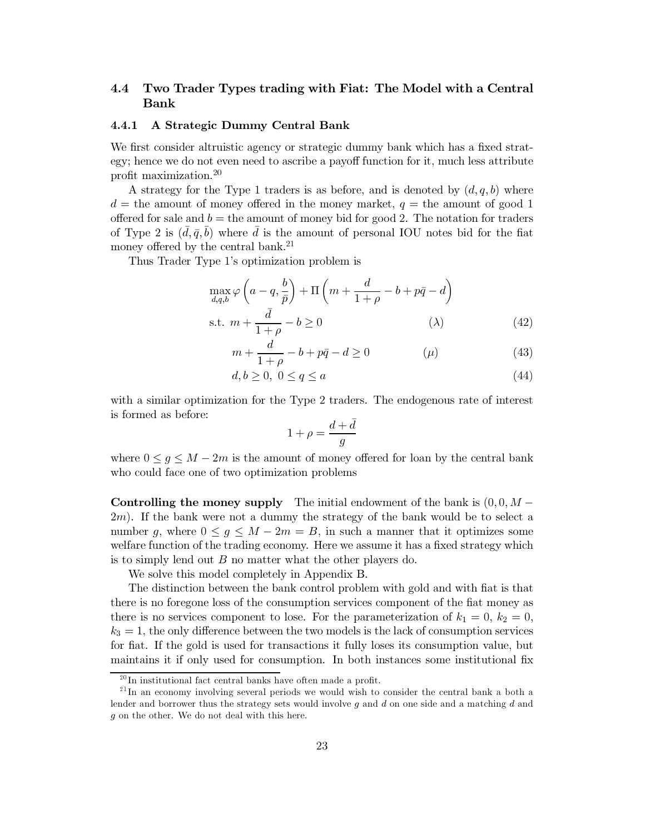### Two Trader Types trading with Fiat: The Model with a Central  $4.4$ **Bank**

#### $4.4.1$ A Strategic Dummy Central Bank

We first consider altruistic agency or strategic dummy bank which has a fixed strategy; hence we do not even need to ascribe a payoff function for it, much less attribute profit maximization. $20$ 

A strategy for the Type 1 traders is as before, and is denoted by  $(d, q, b)$  where  $d =$  the amount of money offered in the money market,  $q =$  the amount of good 1 offered for sale and  $b =$  the amount of money bid for good 2. The notation for traders of Type 2 is  $(\bar{d}, \bar{g}, \bar{b})$  where  $\bar{d}$  is the amount of personal IOU notes bid for the fiat money offered by the central bank.<sup>21</sup>

Thus Trader Type 1's optimization problem is

$$
\max_{d,q,b} \varphi\left(a-q, \frac{b}{\bar{p}}\right) + \Pi\left(m + \frac{d}{1+\rho} - b + p\bar{q} - d\right)
$$
  
s.t.  $m + \frac{\bar{d}}{1+\rho} - b \ge 0$  (A) (42)

$$
m + \frac{d}{1+\rho} - b + p\bar{q} - d \ge 0 \tag{43}
$$

$$
d, b \ge 0, \ 0 \le q \le a \tag{44}
$$

with a similar optimization for the Type 2 traders. The endogenous rate of interest is formed as before:

$$
1+\rho=\frac{d+\bar{d}}{g}
$$

where  $0 \leq g \leq M-2m$  is the amount of money offered for loan by the central bank who could face one of two optimization problems

**Controlling the money supply** The initial endowment of the bank is  $(0,0,M 2m$ ). If the bank were not a dummy the strategy of the bank would be to select a number g, where  $0 \leq g \leq M - 2m = B$ , in such a manner that it optimizes some welfare function of the trading economy. Here we assume it has a fixed strategy which is to simply lend out  $B$  no matter what the other players do.

We solve this model completely in Appendix B.

The distinction between the bank control problem with gold and with flat is that there is no foregone loss of the consumption services component of the fiat money as there is no services component to lose. For the parameterization of  $k_1 = 0$ ,  $k_2 = 0$ ,  $k_3 = 1$ , the only difference between the two models is the lack of consumption services for fiat. If the gold is used for transactions it fully loses its consumption value, but maintains it if only used for consumption. In both instances some institutional fix

 $^{20}$ In institutional fact central banks have often made a profit.

<sup>&</sup>lt;sup>21</sup>In an economy involving several periods we would wish to consider the central bank a both a lender and borrower thus the strategy sets would involve  $g$  and  $d$  on one side and a matching  $d$  and  $g$  on the other. We do not deal with this here.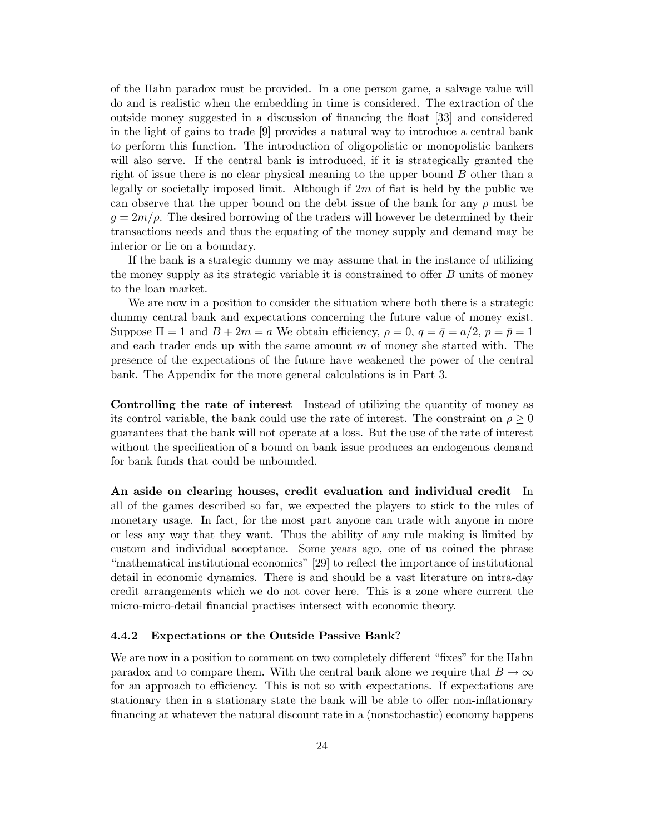of the Hahn paradox must be provided. In a one person game, a salvage value will do and is realistic when the embedding in time is considered. The extraction of the outside money suggested in a discussion of financing the float [33] and considered in the light of gains to trade [9] provides a natural way to introduce a central bank to perform this function. The introduction of oligopolistic or monopolistic bankers will also serve. If the central bank is introduced, if it is strategically granted the right of issue there is no clear physical meaning to the upper bound B other than a legally or societally imposed limit. Although if  $2m$  of fiat is held by the public we can observe that the upper bound on the debt issue of the bank for any  $\rho$  must be  $g = 2m/\rho$ . The desired borrowing of the traders will however be determined by their transactions needs and thus the equating of the money supply and demand may be interior or lie on a boundary.

If the bank is a strategic dummy we may assume that in the instance of utilizing the money supply as its strategic variable it is constrained to offer  $B$  units of money to the loan market.

We are now in a position to consider the situation where both there is a strategic dummy central bank and expectations concerning the future value of money exist. Suppose  $\Pi = 1$  and  $B + 2m = a$  We obtain efficiency,  $\rho = 0$ ,  $q = \bar{q} = a/2$ ,  $p = \bar{p} = 1$ and each trader ends up with the same amount  $m$  of money she started with. The presence of the expectations of the future have weakened the power of the central bank. The Appendix for the more general calculations is in Part 3.

**Controlling the rate of interest** Instead of utilizing the quantity of money as its control variable, the bank could use the rate of interest. The constraint on  $\rho > 0$ guarantees that the bank will not operate at a loss. But the use of the rate of interest without the specification of a bound on bank issue produces an endogenous demand for bank funds that could be unbounded.

An aside on clearing houses, credit evaluation and individual credit In all of the games described so far, we expected the players to stick to the rules of monetary usage. In fact, for the most part anyone can trade with anyone in more or less any way that they want. Thus the ability of any rule making is limited by custom and individual acceptance. Some years ago, one of us coined the phrase "mathematical institutional economics" [29] to reflect the importance of institutional detail in economic dynamics. There is and should be a vast literature on intra-day credit arrangements which we do not cover here. This is a zone where current the micro-micro-detail financial practises intersect with economic theory.

#### $4.4.2$ **Expectations or the Outside Passive Bank?**

We are now in a position to comment on two completely different "fixes" for the Hahn paradox and to compare them. With the central bank alone we require that  $B \to \infty$ for an approach to efficiency. This is not so with expectations. If expectations are stationary then in a stationary state the bank will be able to offer non-inflationary financing at whatever the natural discount rate in a (nonstochastic) economy happens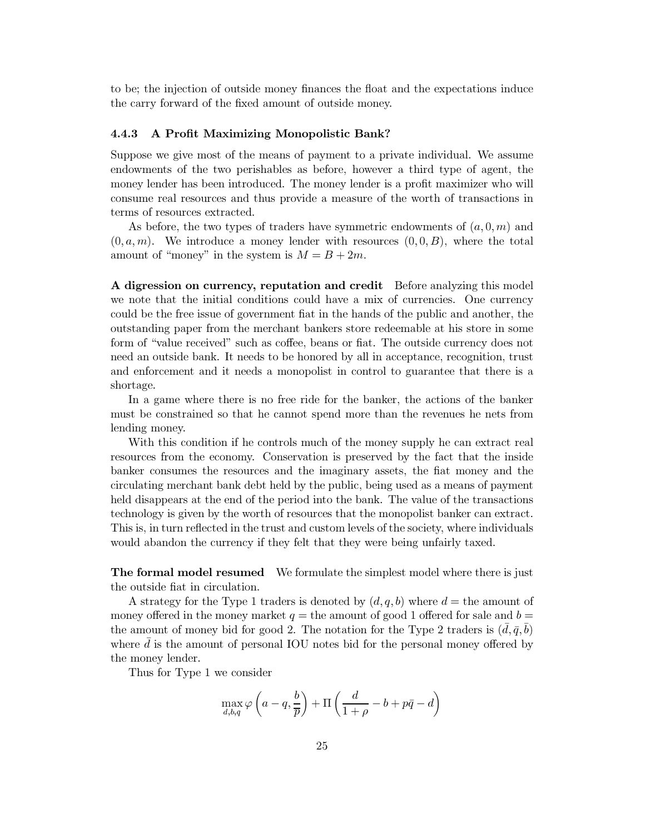to be; the injection of outside money finances the float and the expectations induce the carry forward of the fixed amount of outside money.

#### 4.4.3 A Profit Maximizing Monopolistic Bank?

Suppose we give most of the means of payment to a private individual. We assume endowments of the two perishables as before, however a third type of agent, the money lender has been introduced. The money lender is a profit maximizer who will consume real resources and thus provide a measure of the worth of transactions in terms of resources extracted.

As before, the two types of traders have symmetric endowments of  $(a,0,m)$  and  $(0, a, m)$ . We introduce a money lender with resources  $(0, 0, B)$ , where the total amount of "money" in the system is  $M = B + 2m$ .

A digression on currency, reputation and credit Before analyzing this model we note that the initial conditions could have a mix of currencies. One currency could be the free issue of government fiat in the hands of the public and another, the outstanding paper from the merchant bankers store redeemable at his store in some form of "value received" such as coffee, beans or fiat. The outside currency does not need an outside bank. It needs to be honored by all in acceptance, recognition, trust and enforcement and it needs a monopolist in control to guarantee that there is a shortage.

In a game where there is no free ride for the banker, the actions of the banker must be constrained so that he cannot spend more than the revenues he nets from lending money.

With this condition if he controls much of the money supply he can extract real resources from the economy. Conservation is preserved by the fact that the inside banker consumes the resources and the imaginary assets, the fiat money and the circulating merchant bank debt held by the public, being used as a means of payment held disappears at the end of the period into the bank. The value of the transactions technology is given by the worth of resources that the monopolist banker can extract. This is, in turn reflected in the trust and custom levels of the society, where individuals would abandon the currency if they felt that they were being unfairly taxed.

**The formal model resumed** We formulate the simplest model where there is just the outside fiat in circulation.

A strategy for the Type 1 traders is denoted by  $(d, q, b)$  where  $d =$  the amount of money offered in the money market  $q =$  the amount of good 1 offered for sale and  $b =$ the amount of money bid for good 2. The notation for the Type 2 traders is  $(\bar{d}, \bar{q}, \bar{b})$ where  $d$  is the amount of personal IOU notes bid for the personal money offered by the money lender.

Thus for Type 1 we consider

$$
\max_{d,b,q} \varphi\left(a-q, \frac{b}{\overline{p}}\right) + \Pi\left(\frac{d}{1+\rho} - b + p\overline{q} - d\right)
$$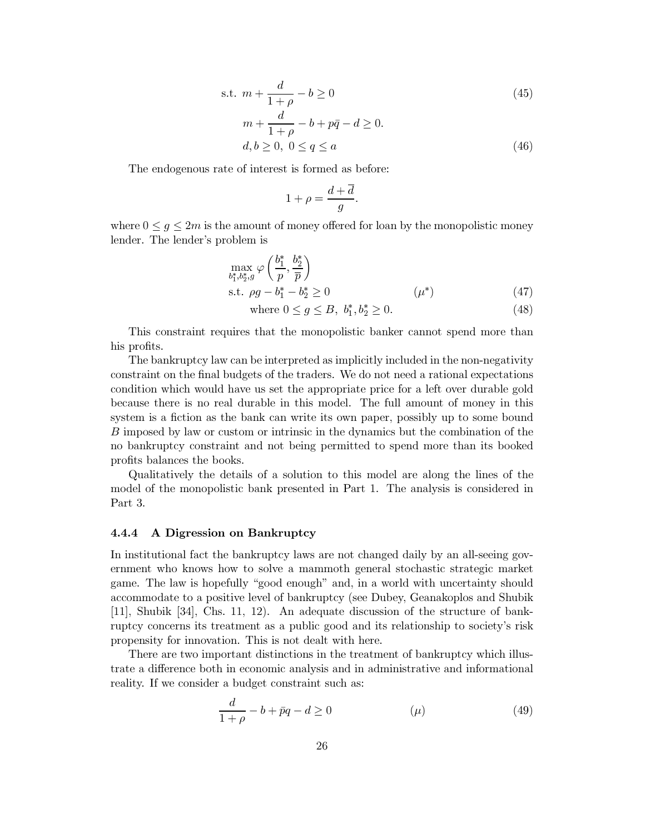s.t. 
$$
m + \frac{d}{1+\rho} - b \ge 0
$$
 (45)  
\n $m + \frac{d}{1+\rho} - b + p\bar{q} - d \ge 0$ .  
\n $d, b \ge 0, 0 \le q \le a$  (46)

The endogenous rate of interest is formed as before:

$$
1+\rho=\frac{d+\overline{d}}{g}.
$$

where  $0 \leq g \leq 2m$  is the amount of money offered for loan by the monopolistic money lender. The lender's problem is

where 
$$
0 \le g \le B
$$
,  $b_1^*, b_2^* \ge 0$ . (48)

This constraint requires that the monopolistic banker cannot spend more than his profits.

The bankruptcy law can be interpreted as implicitly included in the non-negativity constraint on the final budgets of the traders. We do not need a rational expectations condition which would have us set the appropriate price for a left over durable gold because there is no real durable in this model. The full amount of money in this system is a fiction as the bank can write its own paper, possibly up to some bound B imposed by law or custom or intrinsic in the dynamics but the combination of the no bankruptcy constraint and not being permitted to spend more than its booked profits balances the books.

Qualitatively the details of a solution to this model are along the lines of the model of the monopolistic bank presented in Part 1. The analysis is considered in Part 3.

#### A Digression on Bankruptcy 4.4.4

In institutional fact the bankruptcy laws are not changed daily by an all-seeing government who knows how to solve a mammoth general stochastic strategic market game. The law is hopefully "good enough" and, in a world with uncertainty should accommodate to a positive level of bankruptcy (see Dubey, Geanakoplos and Shubik [11], Shubik [34], Chs. 11, 12). An adequate discussion of the structure of bankruptcy concerns its treatment as a public good and its relationship to society's risk propensity for innovation. This is not dealt with here.

There are two important distinctions in the treatment of bankruptcy which illustrate a difference both in economic analysis and in administrative and informational reality. If we consider a budget constraint such as:

$$
\frac{d}{1+\rho} - b + \bar{p}q - d \ge 0 \tag{49}
$$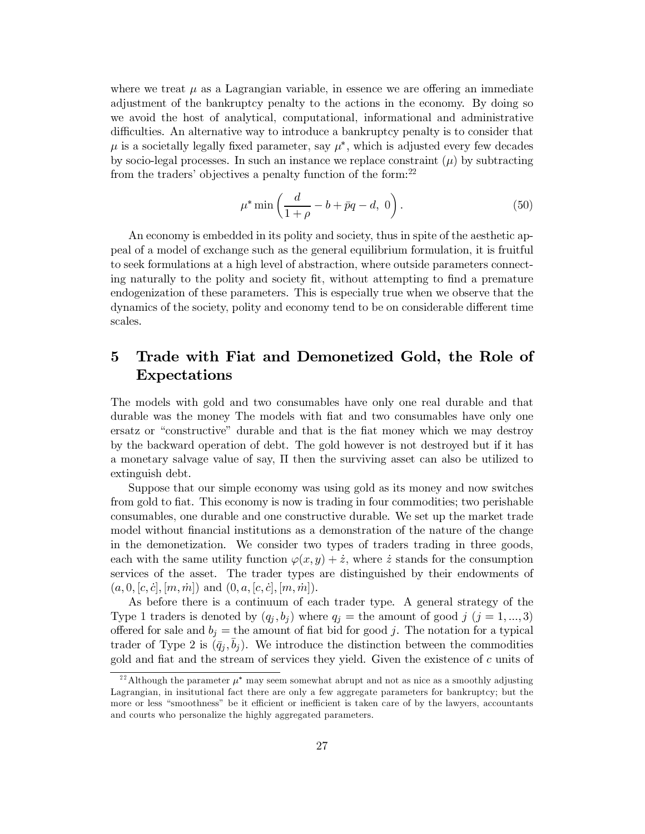where we treat  $\mu$  as a Lagrangian variable, in essence we are offering an immediate adjustment of the bankruptcy penalty to the actions in the economy. By doing so we avoid the host of analytical, computational, informational and administrative difficulties. An alternative way to introduce a bankruptcy penalty is to consider that  $\mu$  is a societally legally fixed parameter, say  $\mu^*$ , which is adjusted every few decades by socio-legal processes. In such an instance we replace constraint  $(\mu)$  by subtracting from the traders' objectives a penalty function of the form:  $2^2$ 

$$
\mu^* \min\left(\frac{d}{1+\rho} - b + \bar{p}q - d, 0\right). \tag{50}
$$

An economy is embedded in its polity and society, thus in spite of the aesthetic appeal of a model of exchange such as the general equilibrium formulation, it is fruitful to seek formulations at a high level of abstraction, where outside parameters connecting naturally to the polity and society fit, without attempting to find a premature endogenization of these parameters. This is especially true when we observe that the dynamics of the society, polity and economy tend to be on considerable different time scales.

### $\bf{5}$ Trade with Fiat and Demonetized Gold, the Role of **Expectations**

The models with gold and two consumables have only one real durable and that durable was the money The models with fiat and two consumables have only one ersatz or "constructive" durable and that is the fiat money which we may destroy by the backward operation of debt. The gold however is not destroyed but if it has a monetary salvage value of say,  $\Pi$  then the surviving asset can also be utilized to extinguish debt.

Suppose that our simple economy was using gold as its money and now switches from gold to fiat. This economy is now is trading in four commodities; two perishable consumables, one durable and one constructive durable. We set up the market trade model without financial institutions as a demonstration of the nature of the change in the demonetization. We consider two types of traders trading in three goods, each with the same utility function  $\varphi(x, y) + \dot{z}$ , where  $\dot{z}$  stands for the consumption services of the asset. The trader types are distinguished by their endowments of  $(a, 0, [c, \dot{c}], [m, \dot{m}])$  and  $(0, a, [c, \dot{c}], [m, \dot{m}])$ .

As before there is a continuum of each trader type. A general strategy of the Type 1 traders is denoted by  $(q_i, b_j)$  where  $q_i$  = the amount of good j  $(j = 1, ..., 3)$ offered for sale and  $b_j$  = the amount of fiat bid for good j. The notation for a typical trader of Type 2 is  $(\bar{q}_i, b_i)$ . We introduce the distinction between the commodities gold and fiat and the stream of services they yield. Given the existence of c units of

<sup>&</sup>lt;sup>22</sup>Although the parameter  $\mu^*$  may seem somewhat abrupt and not as nice as a smoothly adjusting Lagrangian, in insitutional fact there are only a few aggregate parameters for bankruptcy; but the more or less "smoothness" be it efficient or inefficient is taken care of by the lawyers, accountants and courts who personalize the highly aggregated parameters.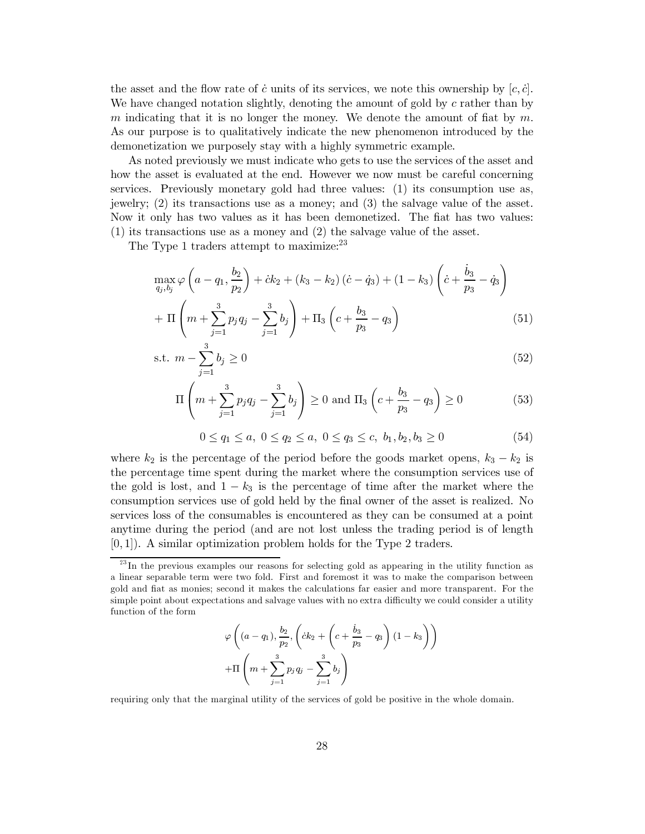the asset and the flow rate of c units of its services, we note this ownership by  $[c, \dot{c}]$ . We have changed notation slightly, denoting the amount of gold by  $c$  rather than by m indicating that it is no longer the money. We denote the amount of fiat by  $m$ . As our purpose is to qualitatively indicate the new phenomenon introduced by the demonetization we purposely stay with a highly symmetric example.

As noted previously we must indicate who gets to use the services of the asset and how the asset is evaluated at the end. However we now must be careful concerning services. Previously monetary gold had three values: (1) its consumption use as, jewelry;  $(2)$  its transactions use as a money; and  $(3)$  the salvage value of the asset. Now it only has two values as it has been demonetized. The fiat has two values:  $(1)$  its transactions use as a money and  $(2)$  the salvage value of the asset.

The Type 1 traders attempt to maximize:  $2^3$ 

$$
\max_{q_j, b_j} \varphi \left( a - q_1, \frac{b_2}{p_2} \right) + \dot{c} k_2 + (k_3 - k_2) \left( \dot{c} - \dot{q}_3 \right) + (1 - k_3) \left( \dot{c} + \frac{\dot{b}_3}{p_3} - \dot{q}_3 \right) + \Pi \left( m + \sum_{j=1}^3 p_j q_j - \sum_{j=1}^3 b_j \right) + \Pi_3 \left( c + \frac{b_3}{p_3} - q_3 \right)
$$
(51)

s.t. 
$$
m - \sum_{j=1}^{3} b_j \ge 0
$$
 (52)

$$
\Pi\left(m + \sum_{j=1}^{3} p_j q_j - \sum_{j=1}^{3} b_j\right) \ge 0 \text{ and } \Pi_3\left(c + \frac{b_3}{p_3} - q_3\right) \ge 0 \tag{53}
$$

$$
0 \le q_1 \le a, \ 0 \le q_2 \le a, \ 0 \le q_3 \le c, \ b_1, b_2, b_3 \ge 0 \tag{54}
$$

where  $k_2$  is the percentage of the period before the goods market opens,  $k_3 - k_2$  is the percentage time spent during the market where the consumption services use of the gold is lost, and  $1 - k_3$  is the percentage of time after the market where the consumption services use of gold held by the final owner of the asset is realized. No services loss of the consumables is encountered as they can be consumed at a point anytime during the period (and are not lost unless the trading period is of length  $[0,1]$ . A similar optimization problem holds for the Type 2 traders.

$$
\varphi \left( (a - q_1), \frac{b_2}{p_2}, \left( ck_2 + \left( c + \frac{b_3}{p_3} - q_3 \right) (1 - k_3 \right) \right) + \Pi \left( m + \sum_{j=1}^3 p_j q_j - \sum_{j=1}^3 b_j \right)
$$

requiring only that the marginal utility of the services of gold be positive in the whole domain.

 $^{23}$ In the previous examples our reasons for selecting gold as appearing in the utility function as a linear separable term were two fold. First and foremost it was to make the comparison between gold and fiat as monies; second it makes the calculations far easier and more transparent. For the simple point about expectations and salvage values with no extra difficulty we could consider a utility function of the form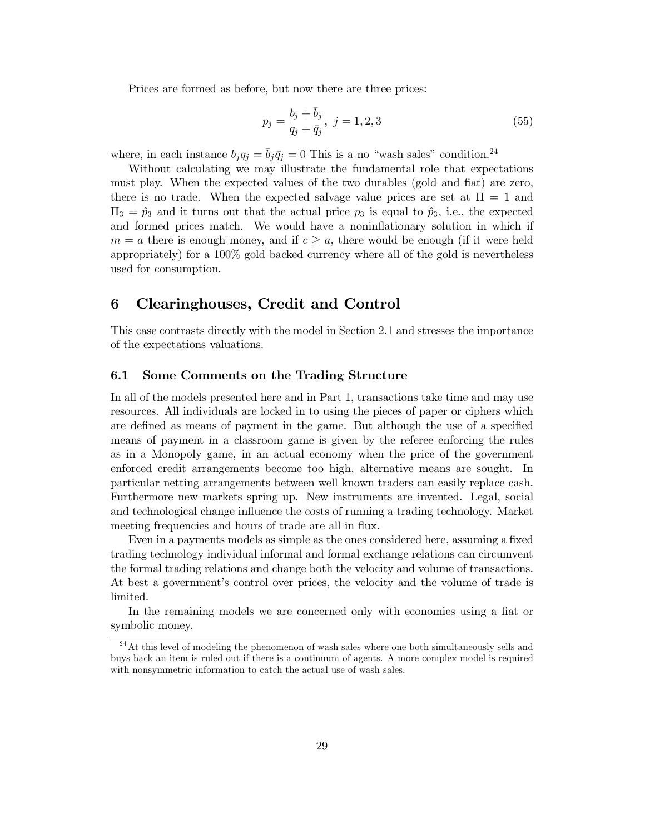Prices are formed as before, but now there are three prices:

$$
p_j = \frac{b_j + b_j}{q_j + \bar{q}_j}, \ j = 1, 2, 3 \tag{55}
$$

where, in each instance  $b_j q_j = \bar{b}_j \bar{q}_j = 0$  This is a no "wash sales" condition.<sup>24</sup>

Without calculating we may illustrate the fundamental role that expectations must play. When the expected values of the two durables (gold and fiat) are zero, there is no trade. When the expected salvage value prices are set at  $\Pi = 1$  and  $\Pi_3 = \hat{p}_3$  and it turns out that the actual price  $p_3$  is equal to  $\hat{p}_3$ , i.e., the expected and formed prices match. We would have a noninflationary solution in which if  $m = a$  there is enough money, and if  $c \geq a$ , there would be enough (if it were held appropriately) for a 100% gold backed currency where all of the gold is nevertheless used for consumption.

#### 6 Clearinghouses, Credit and Control

This case contrasts directly with the model in Section 2.1 and stresses the importance of the expectations valuations.

#### Some Comments on the Trading Structure  $6.1$

In all of the models presented here and in Part 1, transactions take time and may use resources. All individuals are locked in to using the pieces of paper or ciphers which are defined as means of payment in the game. But although the use of a specified means of payment in a classroom game is given by the referee enforcing the rules as in a Monopoly game, in an actual economy when the price of the government enforced credit arrangements become too high, alternative means are sought. In particular netting arrangements between well known traders can easily replace cash. Furthermore new markets spring up. New instruments are invented. Legal, social and technological change influence the costs of running a trading technology. Market meeting frequencies and hours of trade are all in flux.

Even in a payments models as simple as the ones considered here, assuming a fixed trading technology individual informal and formal exchange relations can circumvent the formal trading relations and change both the velocity and volume of transactions. At best a government's control over prices, the velocity and the volume of trade is limited.

In the remaining models we are concerned only with economies using a flat or symbolic money.

 $124$  At this level of modeling the phenomenon of wash sales where one both simultaneously sells and buys back an item is ruled out if there is a continuum of agents. A more complex model is required with nonsymmetric information to catch the actual use of wash sales.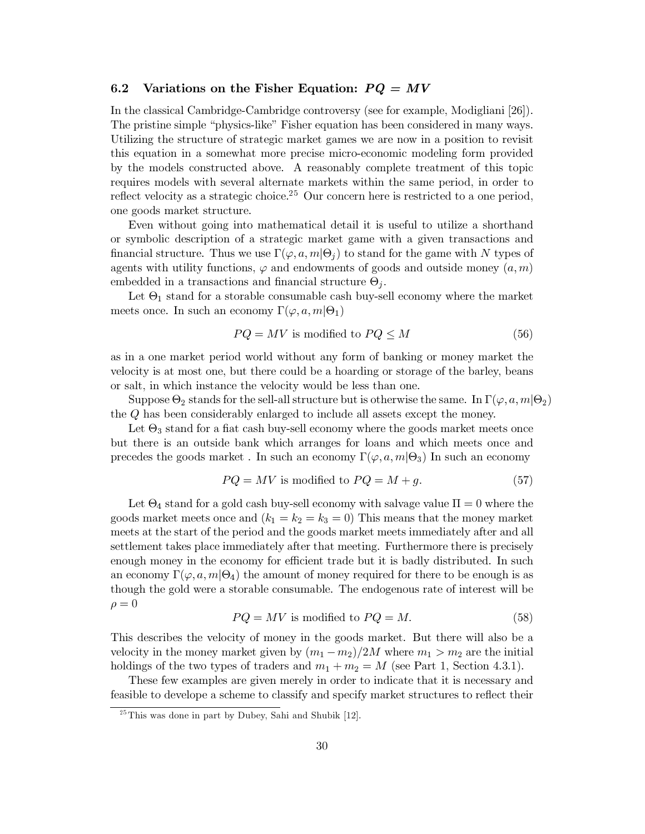#### Variations on the Fisher Equation:  $PQ = MV$  $6.2$

In the classical Cambridge-Cambridge controversy (see for example, Modigliani [26]). The pristine simple "physics-like" Fisher equation has been considered in many ways. Utilizing the structure of strategic market games we are now in a position to revisit this equation in a somewhat more precise micro-economic modeling form provided by the models constructed above. A reasonably complete treatment of this topic requires models with several alternate markets within the same period, in order to reflect velocity as a strategic choice.<sup>25</sup> Our concern here is restricted to a one period, one goods market structure.

Even without going into mathematical detail it is useful to utilize a shorthand or symbolic description of a strategic market game with a given transactions and financial structure. Thus we use  $\Gamma(\varphi, a, m | \Theta_i)$  to stand for the game with N types of agents with utility functions,  $\varphi$  and endowments of goods and outside money  $(a, m)$ embedded in a transactions and financial structure  $\Theta_i$ .

Let  $\Theta_1$  stand for a storable consumable cash buy-sell economy where the market meets once. In such an economy  $\Gamma(\varphi, a, m | \Theta_1)$ 

$$
PQ = MV \text{ is modified to } PQ \le M \tag{56}
$$

as in a one market period world without any form of banking or money market the velocity is at most one, but there could be a hoarding or storage of the barley, beans or salt, in which instance the velocity would be less than one.

Suppose  $\Theta_2$  stands for the sell-all structure but is otherwise the same. In  $\Gamma(\varphi, a, m | \Theta_2)$ the  $Q$  has been considerably enlarged to include all assets except the money.

Let  $\Theta_3$  stand for a fiat cash buy-sell economy where the goods market meets once but there is an outside bank which arranges for loans and which meets once and precedes the goods market. In such an economy  $\Gamma(\varphi, a, m | \Theta_3)$  In such an economy

$$
PQ = MV \text{ is modified to } PQ = M + g. \tag{57}
$$

Let  $\Theta_4$  stand for a gold cash buy-sell economy with salvage value  $\Pi = 0$  where the goods market meets once and  $(k_1 = k_2 = k_3 = 0)$  This means that the money market meets at the start of the period and the goods market meets immediately after and all settlement takes place immediately after that meeting. Furthermore there is precisely enough money in the economy for efficient trade but it is badly distributed. In such an economy  $\Gamma(\varphi, a, m | \Theta_4)$  the amount of money required for there to be enough is as though the gold were a storable consumable. The endogenous rate of interest will be  $\rho = 0$ 

$$
PQ = MV \text{ is modified to } PQ = M. \tag{58}
$$

This describes the velocity of money in the goods market. But there will also be a velocity in the money market given by  $(m_1 - m_2)/2M$  where  $m_1 > m_2$  are the initial holdings of the two types of traders and  $m_1 + m_2 = M$  (see Part 1, Section 4.3.1).

These few examples are given merely in order to indicate that it is necessary and feasible to develope a scheme to classify and specify market structures to reflect their

 $25$ This was done in part by Dubey, Sahi and Shubik [12].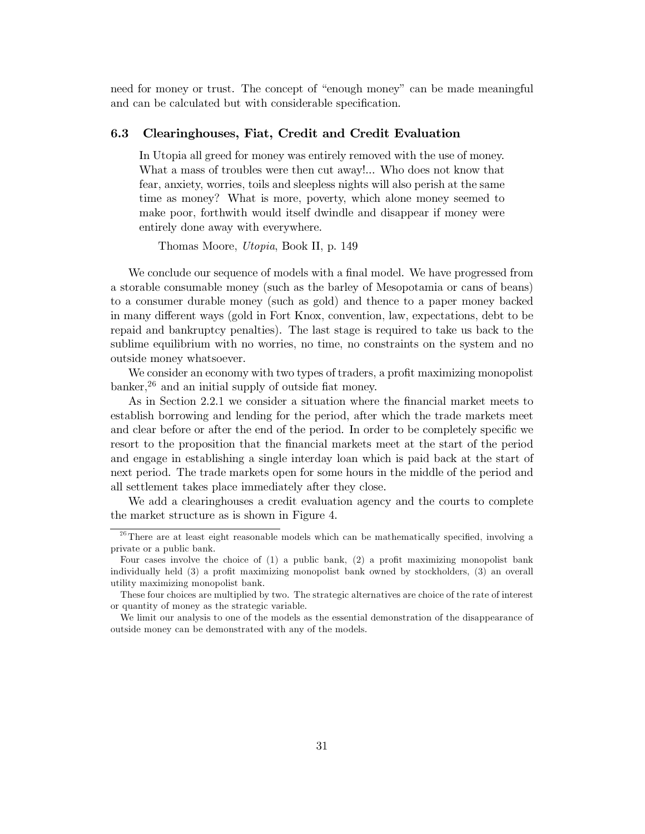need for money or trust. The concept of "enough money" can be made meaningful and can be calculated but with considerable specification.

#### 6.3 Clearinghouses, Fiat, Credit and Credit Evaluation

In Utopia all greed for money was entirely removed with the use of money. What a mass of troubles were then cut away!... Who does not know that fear, anxiety, worries, toils and sleepless nights will also perish at the same time as money? What is more, poverty, which alone money seemed to make poor, forthwith would itself dwindle and disappear if money were entirely done away with everywhere.

Thomas Moore, *Utopia*, Book II, p. 149

We conclude our sequence of models with a final model. We have progressed from a storable consumable money (such as the barley of Mesopotamia or cans of beans) to a consumer durable money (such as gold) and thence to a paper money backed in many different ways (gold in Fort Knox, convention, law, expectations, debt to be repaid and bankruptcy penalties). The last stage is required to take us back to the sublime equilibrium with no worries, no time, no constraints on the system and no outside money whatsoever.

We consider an economy with two types of traders, a profit maximizing monopolist banker,  $26$  and an initial supply of outside fiat money.

As in Section 2.2.1 we consider a situation where the financial market meets to establish borrowing and lending for the period, after which the trade markets meet and clear before or after the end of the period. In order to be completely specific we resort to the proposition that the financial markets meet at the start of the period and engage in establishing a single interday loan which is paid back at the start of next period. The trade markets open for some hours in the middle of the period and all settlement takes place immediately after they close.

We add a clearinghouses a credit evaluation agency and the courts to complete the market structure as is shown in Figure 4.

 $^{26}$  There are at least eight reasonable models which can be mathematically specified, involving a private or a public bank.

Four cases involve the choice of  $(1)$  a public bank,  $(2)$  a profit maximizing monopolist bank individually held (3) a profit maximizing monopolist bank owned by stockholders, (3) an overall utility maximizing monopolist bank.

These four choices are multiplied by two. The strategic alternatives are choice of the rate of interest or quantity of money as the strategic variable.

We limit our analysis to one of the models as the essential demonstration of the disappearance of outside money can be demonstrated with any of the models.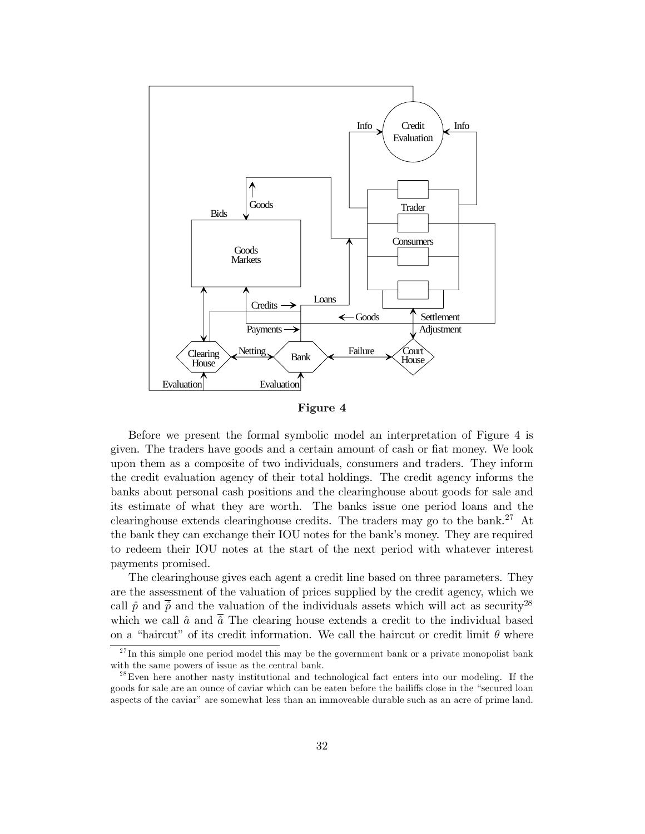

Figure 4

Before we present the formal symbolic model an interpretation of Figure 4 is given. The traders have goods and a certain amount of cash or flat money. We look upon them as a composite of two individuals, consumers and traders. They inform the credit evaluation agency of their total holdings. The credit agency informs the banks about personal cash positions and the clearinghouse about goods for sale and its estimate of what they are worth. The banks issue one period loans and the clearinghouse extends clearinghouse credits. The traders may go to the bank.<sup>27</sup> At the bank they can exchange their IOU notes for the bank's money. They are required to redeem their IOU notes at the start of the next period with whatever interest payments promised.

The clearinghouse gives each agent a credit line based on three parameters. They are the assessment of the valuation of prices supplied by the credit agency, which we call  $\hat{p}$  and  $\overline{\hat{p}}$  and the valuation of the individuals assets which will act as security<sup>28</sup> which we call  $\hat{a}$  and  $\overline{\hat{a}}$  The clearing house extends a credit to the individual based on a "haircut" of its credit information. We call the haircut or credit limit  $\theta$  where

 $27$ In this simple one period model this may be the government bank or a private monopolist bank with the same powers of issue as the central bank.

 $^{28}$ Even here another nasty institutional and technological fact enters into our modeling. If the goods for sale are an ounce of caviar which can be eaten before the bailiffs close in the "secured loan aspects of the caviar" are somewhat less than an immoveable durable such as an acre of prime land.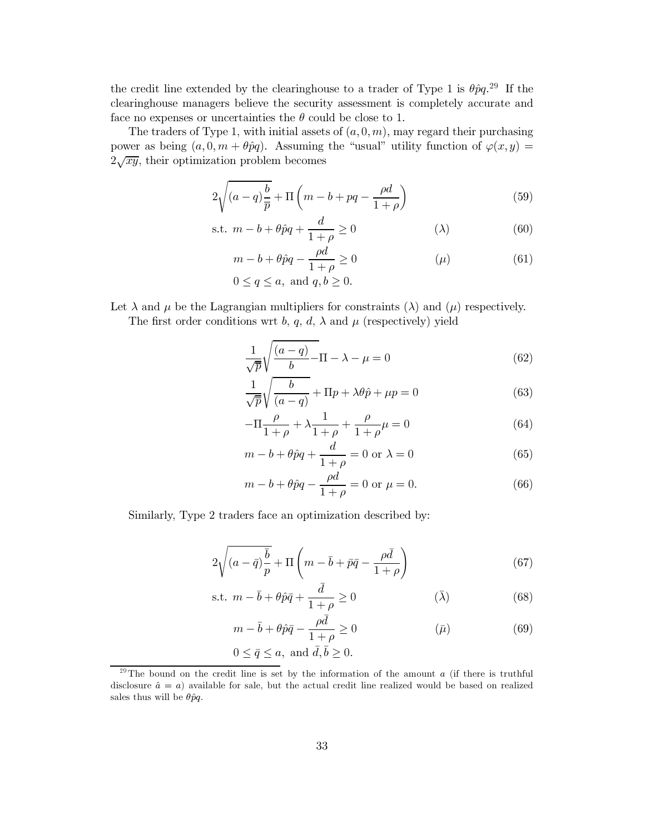the credit line extended by the clearinghouse to a trader of Type 1 is  $\theta \hat{p}q$ <sup>29</sup> If the clearinghouse managers believe the security assessment is completely accurate and face no expenses or uncertainties the  $\theta$  could be close to 1.

The traders of Type 1, with initial assets of  $(a,0,m)$ , may regard their purchasing power as being  $(a, 0, m + \theta \hat{p}q)$ . Assuming the "usual" utility function of  $\varphi(x, y)$  =  $2\sqrt{xy}$ , their optimization problem becomes

$$
2\sqrt{(a-q)\frac{b}{\overline{p}}} + \Pi\left(m - b + pq - \frac{\rho d}{1+\rho}\right)
$$
\n(59)

$$
\text{s.t. } m - b + \theta \hat{p}q + \frac{d}{1+\rho} \ge 0 \tag{60}
$$

$$
m - b + \theta \hat{p}q - \frac{\rho d}{1 + \rho} \ge 0 \tag{61}
$$

$$
0 \le q \le a
$$
, and  $q, b \ge 0$ .

Let  $\lambda$  and  $\mu$  be the Lagrangian multipliers for constraints ( $\lambda$ ) and ( $\mu$ ) respectively.

The first order conditions wrt b, q, d,  $\lambda$  and  $\mu$  (respectively) yield

$$
\frac{1}{\sqrt{\overline{p}}} \sqrt{\frac{(a-q)}{b}} - \Pi - \lambda - \mu = 0
$$
\n(62)

$$
\frac{1}{\sqrt{p}}\sqrt{\frac{b}{(a-q)}} + \Pi p + \lambda \theta \hat{p} + \mu p = 0
$$
\n(63)

$$
-\Pi \frac{\rho}{1+\rho} + \lambda \frac{1}{1+\rho} + \frac{\rho}{1+\rho} \mu = 0
$$
\n(64)

$$
m - b + \theta \hat{p}q + \frac{d}{1 + \rho} = 0 \text{ or } \lambda = 0 \tag{65}
$$

$$
m - b + \theta \hat{p}q - \frac{\rho d}{1 + \rho} = 0
$$
 or  $\mu = 0.$  (66)

Similarly, Type 2 traders face an optimization described by:

$$
2\sqrt{(a-\bar{q})\frac{\bar{b}}{p}} + \Pi\left(m - \bar{b} + \bar{p}\bar{q} - \frac{\rho\bar{d}}{1+\rho}\right) \tag{67}
$$

s.t. 
$$
m - \bar{b} + \theta \hat{p}\bar{q} + \frac{d}{1 + \rho} \ge 0
$$
  $(\bar{\lambda})$  (68)

$$
m - \bar{b} + \theta \hat{p}\bar{q} - \frac{\rho d}{1 + \rho} \ge 0 \tag{69}
$$

$$
0 \le \bar{q} \le a
$$
, and  $\bar{d}, \bar{b} \ge 0$ .

<sup>&</sup>lt;sup>29</sup>The bound on the credit line is set by the information of the amount a (if there is truthful disclosure  $\hat{a} = a$  available for sale, but the actual credit line realized would be based on realized sales thus will be  $\theta \hat{p}q$ .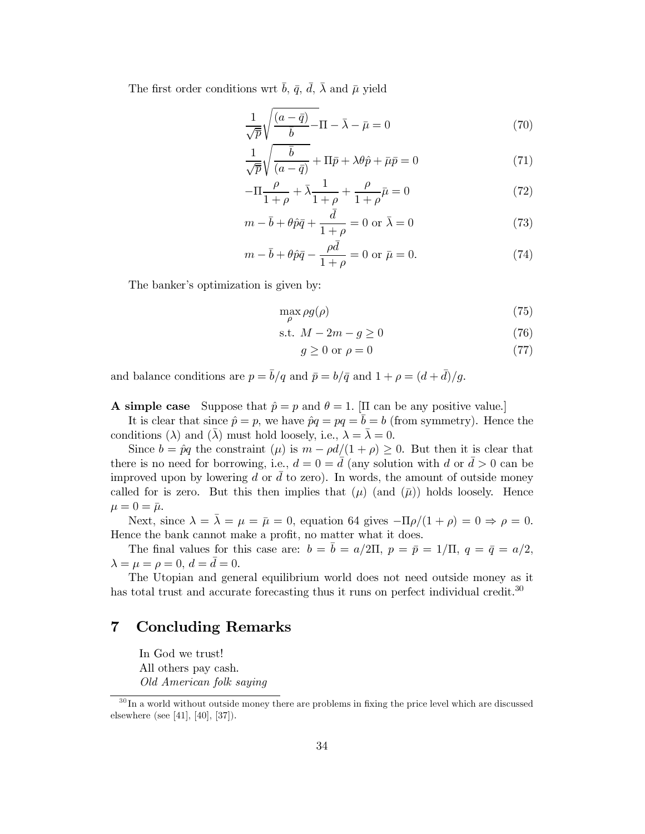The first order conditions wrt  $\bar{b}$ ,  $\bar{q}$ ,  $\bar{d}$ ,  $\bar{\lambda}$  and  $\bar{\mu}$  yield

$$
\frac{1}{\sqrt{\overline{p}}} \sqrt{\frac{(a-\overline{q})}{\overline{b}} - \Pi - \overline{\lambda} - \overline{\mu}} = 0
$$
\n(70)

$$
\frac{1}{\sqrt{\overline{p}}} \sqrt{\frac{\overline{b}}{(a - \overline{q})}} + \Pi \overline{p} + \lambda \theta \hat{p} + \overline{\mu} \overline{p} = 0 \tag{71}
$$

$$
-\Pi \frac{\rho}{1+\rho} + \bar{\lambda} \frac{1}{1+\rho} + \frac{\rho}{1+\rho} \bar{\mu} = 0
$$
\n(72)

$$
m - \bar{b} + \theta \hat{p}\bar{q} + \frac{d}{1+\rho} = 0 \text{ or } \bar{\lambda} = 0
$$
 (73)

$$
m - \bar{b} + \theta \hat{p}\bar{q} - \frac{\rho \bar{d}}{1 + \rho} = 0 \text{ or } \bar{\mu} = 0.
$$
 (74)

The banker's optimization is given by:

$$
\max_{\rho} \rho g(\rho) \tag{75}
$$

$$
\text{s.t. } M - 2m - g \ge 0 \tag{76}
$$

$$
g \ge 0 \text{ or } \rho = 0 \tag{77}
$$

and balance conditions are  $p = \bar{b}/q$  and  $\bar{p} = b/\bar{q}$  and  $1 + \rho = (d + \bar{d})/g$ .

# **A** simple case Suppose that  $\hat{p} = p$  and  $\theta = 1$ . [II can be any positive value.]

It is clear that since  $\hat{p} = p$ , we have  $\hat{p}q = pq = \overline{b} = b$  (from symmetry). Hence the conditions ( $\lambda$ ) and ( $\bar{\lambda}$ ) must hold loosely, i.e.,  $\lambda = \bar{\lambda} = 0$ .

Since  $b = \hat{p}q$  the constraint  $(\mu)$  is  $m - \rho d/(1 + \rho) \geq 0$ . But then it is clear that there is no need for borrowing, i.e.,  $d = 0 = \overline{d}$  (any solution with d or  $\overline{d} > 0$  can be improved upon by lowering d or  $\bar{d}$  to zero). In words, the amount of outside money called for is zero. But this then implies that  $(\mu)$  (and  $(\bar{\mu})$ ) holds loosely. Hence  $\mu=0=\bar{\mu}.$ 

Next, since  $\lambda = \overline{\lambda} = \mu = \overline{\mu} = 0$ , equation 64 gives  $-\Pi \rho/(1+\rho) = 0 \Rightarrow \rho = 0$ . Hence the bank cannot make a profit, no matter what it does.

The final values for this case are:  $b = \bar{b} = a/2\Pi$ ,  $p = \bar{p} = 1/\Pi$ ,  $q = \bar{q} = a/2$ ,  $\lambda = \mu = \rho = 0, d = \bar{d} = 0.$ 

The Utopian and general equilibrium world does not need outside money as it has total trust and accurate forecasting thus it runs on perfect individual credit.<sup>30</sup>

#### $\overline{7}$ **Concluding Remarks**

In God we trust! All others pay cash. Old American folk saying

 $30 \text{ In a world without outside money there are problems in fixing the price level which are discussed.}$ elsewhere (see [41], [40], [37]).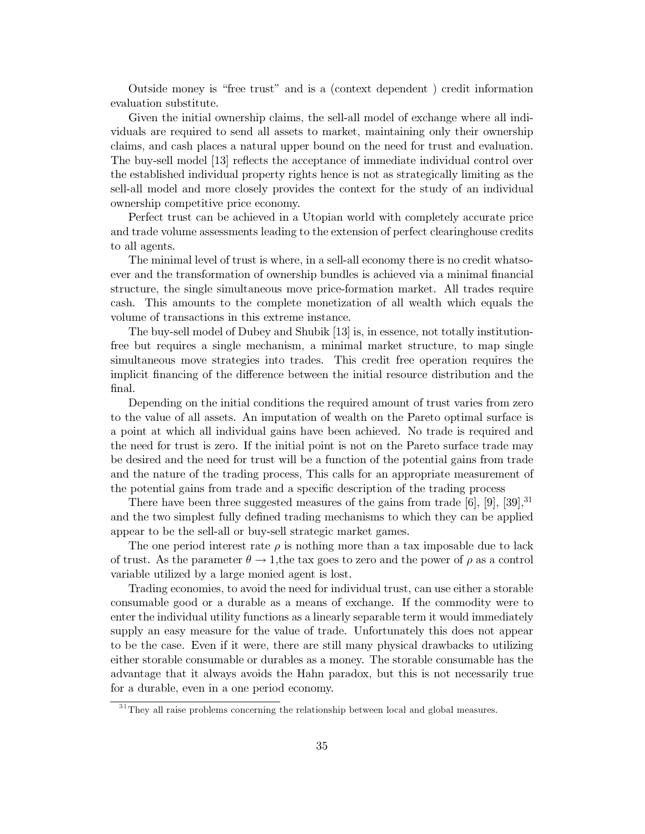Outside money is "free trust" and is a (context dependent) credit information evaluation substitute.

Given the initial ownership claims, the sell-all model of exchange where all individuals are required to send all assets to market, maintaining only their ownership claims, and cash places a natural upper bound on the need for trust and evaluation. The buy-sell model [13] reflects the acceptance of immediate individual control over the established individual property rights hence is not as strategically limiting as the sell-all model and more closely provides the context for the study of an individual ownership competitive price economy.

Perfect trust can be achieved in a Utopian world with completely accurate price and trade volume assessments leading to the extension of perfect clearinghouse credits to all agents.

The minimal level of trust is where, in a sell-all economy there is no credit whatsoever and the transformation of ownership bundles is achieved via a minimal financial structure, the single simultaneous move price-formation market. All trades require cash. This amounts to the complete monetization of all wealth which equals the volume of transactions in this extreme instance.

The buy-sell model of Dubey and Shubik [13] is, in essence, not totally institutionfree but requires a single mechanism, a minimal market structure, to map single simultaneous move strategies into trades. This credit free operation requires the implicit financing of the difference between the initial resource distribution and the final.

Depending on the initial conditions the required amount of trust varies from zero to the value of all assets. An imputation of wealth on the Pareto optimal surface is a point at which all individual gains have been achieved. No trade is required and the need for trust is zero. If the initial point is not on the Pareto surface trade may be desired and the need for trust will be a function of the potential gains from trade and the nature of the trading process, This calls for an appropriate measurement of the potential gains from trade and a specific description of the trading process

There have been three suggested measures of the gains from trade [6], [9], [39],  $31$ and the two simplest fully defined trading mechanisms to which they can be applied appear to be the sell-all or buy-sell strategic market games.

The one period interest rate  $\rho$  is nothing more than a tax imposable due to lack of trust. As the parameter  $\theta \to 1$ , the tax goes to zero and the power of  $\rho$  as a control variable utilized by a large monied agent is lost.

Trading economies, to avoid the need for individual trust, can use either a storable consumable good or a durable as a means of exchange. If the commodity were to enter the individual utility functions as a linearly separable term it would immediately supply an easy measure for the value of trade. Unfortunately this does not appear to be the case. Even if it were, there are still many physical drawbacks to utilizing either storable consumable or durables as a money. The storable consumable has the advantage that it always avoids the Hahn paradox, but this is not necessarily true for a durable, even in a one period economy.

 $\rm ^{31}$  They all raise problems concerning the relationship between local and global measures.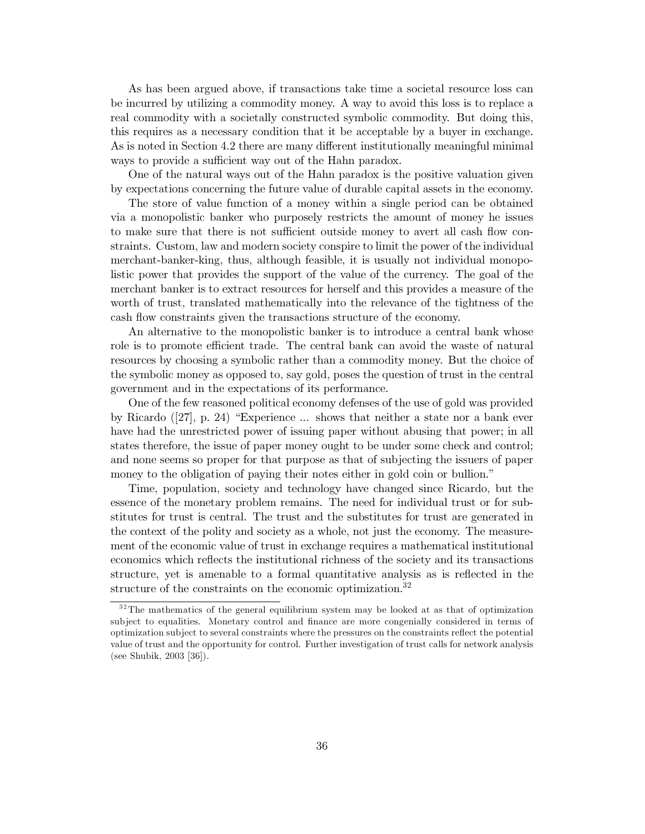As has been argued above, if transactions take time a societal resource loss can be incurred by utilizing a commodity money. A way to avoid this loss is to replace a real commodity with a societally constructed symbolic commodity. But doing this, this requires as a necessary condition that it be acceptable by a buyer in exchange. As is noted in Section 4.2 there are many different institutionally meaningful minimal ways to provide a sufficient way out of the Hahn paradox.

One of the natural ways out of the Hahn paradox is the positive valuation given by expectations concerning the future value of durable capital assets in the economy.

The store of value function of a money within a single period can be obtained via a monopolistic banker who purposely restricts the amount of money he issues to make sure that there is not sufficient outside money to avert all cash flow constraints. Custom, law and modern society conspire to limit the power of the individual merchant-banker-king, thus, although feasible, it is usually not individual monopolistic power that provides the support of the value of the currency. The goal of the merchant banker is to extract resources for herself and this provides a measure of the worth of trust, translated mathematically into the relevance of the tightness of the cash flow constraints given the transactions structure of the economy.

An alternative to the monopolistic banker is to introduce a central bank whose role is to promote efficient trade. The central bank can avoid the waste of natural resources by choosing a symbolic rather than a commodity money. But the choice of the symbolic money as opposed to, say gold, poses the question of trust in the central government and in the expectations of its performance.

One of the few reasoned political economy defenses of the use of gold was provided by Ricardo ([27], p. 24) "Experience ... shows that neither a state nor a bank ever have had the unrestricted power of issuing paper without abusing that power; in all states therefore, the issue of paper money ought to be under some check and control; and none seems so proper for that purpose as that of subjecting the issuers of paper money to the obligation of paying their notes either in gold coin or bullion."

Time, population, society and technology have changed since Ricardo, but the essence of the monetary problem remains. The need for individual trust or for substitutes for trust is central. The trust and the substitutes for trust are generated in the context of the polity and society as a whole, not just the economy. The measurement of the economic value of trust in exchange requires a mathematical institutional economics which reflects the institutional richness of the society and its transactions structure, yet is amenable to a formal quantitative analysis as is reflected in the structure of the constraints on the economic optimization.<sup>32</sup>

 $32$ <sup>32</sup>The mathematics of the general equilibrium system may be looked at as that of optimization subject to equalities. Monetary control and finance are more congenially considered in terms of optimization subject to several constraints where the pressures on the constraints reflect the potential value of trust and the opportunity for control. Further investigation of trust calls for network analysis (see Shubik,  $2003$  [36]).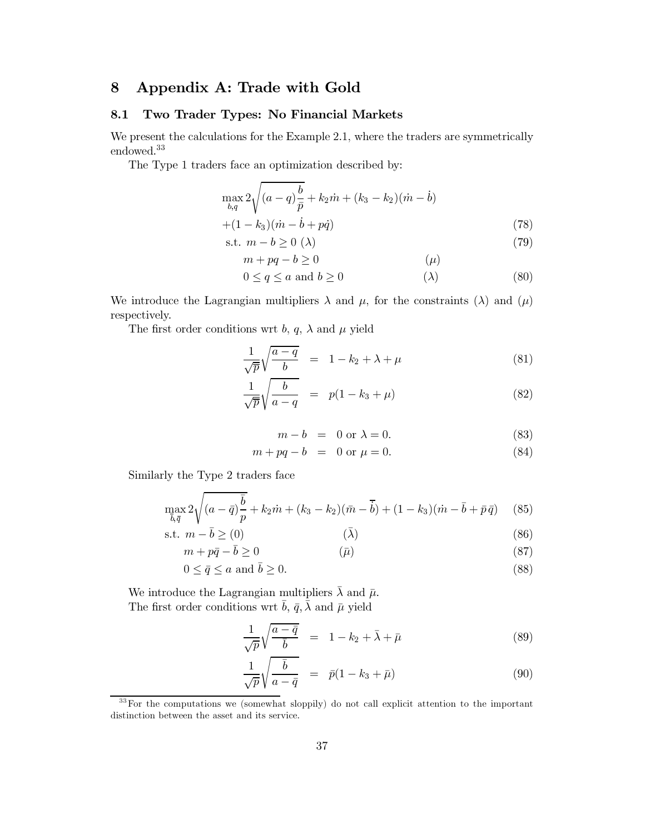#### Appendix A: Trade with Gold 8

#### 8.1 Two Trader Types: No Financial Markets

We present the calculations for the Example 2.1, where the traders are symmetrically endowed.<sup>33</sup>

The Type 1 traders face an optimization described by:

$$
\max_{b,q} 2\sqrt{(a-q)\frac{b}{\bar{p}}} + k_2 \dot{m} + (k_3 - k_2)(\dot{m} - \dot{b})
$$
  
+(1 - k<sub>3</sub>)(\dot{m} - \dot{b} + p\dot{q}) (78)

$$
\text{s.t. } m - b \ge 0 \text{ } (\lambda) \tag{79}
$$

$$
m + pq - b \ge 0 \qquad (\mu)
$$
  
0 < a < a and b > 0 \qquad (\lambda) \qquad (80)

$$
0 \le q \le a \text{ and } b \ge 0 \tag{80}
$$

We introduce the Lagrangian multipliers  $\lambda$  and  $\mu$ , for the constraints ( $\lambda$ ) and ( $\mu$ ) respectively.

The first order conditions wrt b, q,  $\lambda$  and  $\mu$  yield

$$
\frac{1}{\sqrt{\overline{p}}} \sqrt{\frac{a-q}{b}} = 1 - k_2 + \lambda + \mu \tag{81}
$$

$$
\frac{1}{\sqrt{p}}\sqrt{\frac{b}{a-q}} = p(1-k_3+\mu) \tag{82}
$$

$$
m - b = 0 \text{ or } \lambda = 0. \tag{83}
$$

$$
m + pq - b = 0 \text{ or } \mu = 0. \tag{84}
$$

Similarly the Type 2 traders face

$$
\max_{\bar{b}, \bar{q}} 2\sqrt{(a-\bar{q})\frac{\bar{b}}{p}} + k_2 \dot{m} + (k_3 - k_2)(\bar{m} - \bar{b}) + (1 - k_3)(\dot{m} - \bar{b} + \bar{p}\,\bar{q}) \tag{85}
$$

$$
\text{s.t. } m - \bar{b} \geq (0) \tag{86}
$$

$$
m + p\bar{q} - \bar{b} \ge 0 \tag{87}
$$

$$
0 \le \bar{q} \le a \text{ and } \bar{b} \ge 0. \tag{88}
$$

We introduce the Lagrangian multipliers  $\bar{\lambda}$  and  $\bar{\mu}$ . The first order conditions wrt  $\bar{b}$ ,  $\bar{q}$ ,  $\bar{\lambda}$  and  $\bar{\mu}$  yield

$$
\frac{1}{\sqrt{p}}\sqrt{\frac{a-\bar{q}}{\bar{b}}} = 1 - k_2 + \bar{\lambda} + \bar{\mu}
$$
\n(89)

$$
\frac{1}{\sqrt{p}}\sqrt{\frac{\overline{b}}{a-\overline{q}}} = \overline{p}(1-k_3+\overline{\mu})
$$
\n(90)

<sup>33</sup>For the computations we (somewhat sloppily) do not call explicit attention to the important distinction between the asset and its service.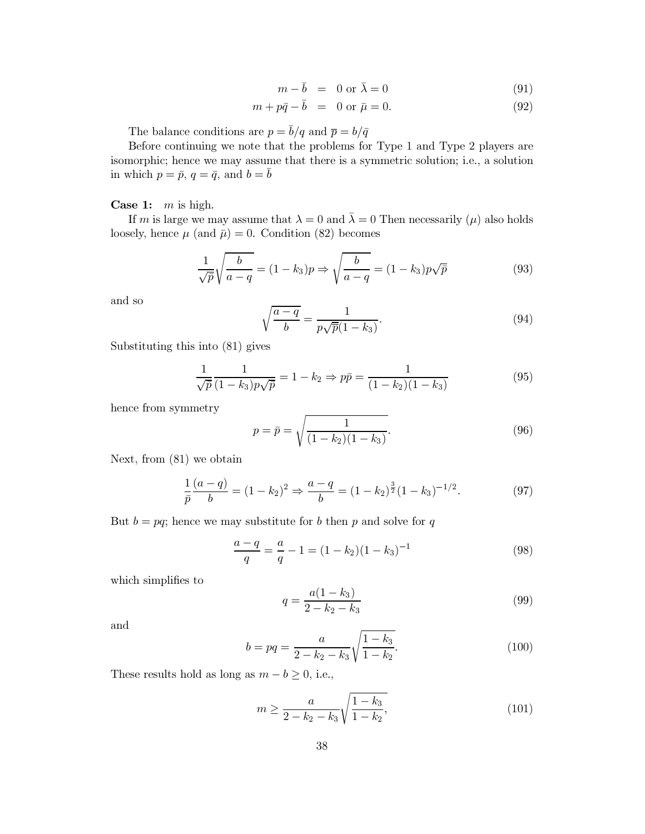$$
m - \bar{b} = 0 \text{ or } \bar{\lambda} = 0 \tag{91}
$$

$$
m + p\bar{q} - b = 0 \text{ or } \bar{\mu} = 0. \tag{92}
$$

The balance conditions are  $p = \bar{b}/q$  and  $\bar{p} = b/\bar{q}$ 

Before continuing we note that the problems for Type 1 and Type 2 players are isomorphic; hence we may assume that there is a symmetric solution; i.e., a solution in which  $p = \bar{p}$ ,  $q = \bar{q}$ , and  $b = \bar{b}$ 

**Case 1:**  $m$  is high.

If m is large we may assume that  $\lambda = 0$  and  $\overline{\lambda} = 0$  Then necessarily ( $\mu$ ) also holds loosely, hence  $\mu$  (and  $\bar{\mu}$ ) = 0. Condition (82) becomes

$$
\frac{1}{\sqrt{\bar{p}}} \sqrt{\frac{b}{a-q}} = (1 - k_3)p \Rightarrow \sqrt{\frac{b}{a-q}} = (1 - k_3)p\sqrt{\bar{p}} \tag{93}
$$

and so

$$
\sqrt{\frac{a-q}{b}} = \frac{1}{p\sqrt{\overline{p}}(1-k_3)}.\tag{94}
$$

Substituting this into (81) gives

$$
\frac{1}{\sqrt{\bar{p}}}\frac{1}{(1-k_3)p\sqrt{\bar{p}}}=1-k_2 \Rightarrow p\bar{p}=\frac{1}{(1-k_2)(1-k_3)}
$$
(95)

hence from symmetry

$$
p = \bar{p} = \sqrt{\frac{1}{(1 - k_2)(1 - k_3)}}.
$$
\n(96)

Next, from  $(81)$  we obtain

$$
\frac{1}{\bar{p}}\frac{(a-q)}{b} = (1-k_2)^2 \Rightarrow \frac{a-q}{b} = (1-k_2)^{\frac{3}{2}}(1-k_3)^{-1/2}.
$$
\n(97)

But  $b = pq$ ; hence we may substitute for b then p and solve for q

$$
\frac{a-q}{q} = \frac{a}{q} - 1 = (1 - k_2)(1 - k_3)^{-1}
$$
\n(98)

which simplifies to

$$
q = \frac{a(1 - k_3)}{2 - k_2 - k_3} \tag{99}
$$

and

$$
b = pq = \frac{a}{2 - k_2 - k_3} \sqrt{\frac{1 - k_3}{1 - k_2}}.
$$
\n(100)

These results hold as long as  $m - b \geq 0$ , i.e.,

$$
m \ge \frac{a}{2 - k_2 - k_3} \sqrt{\frac{1 - k_3}{1 - k_2}},\tag{101}
$$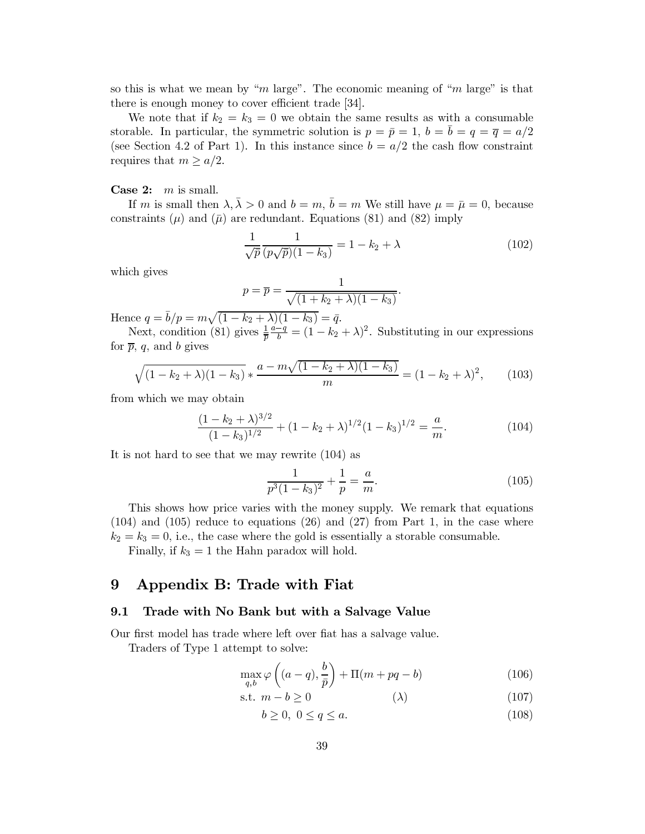so this is what we mean by "m large". The economic meaning of "m large" is that there is enough money to cover efficient trade [34].

We note that if  $k_2 = k_3 = 0$  we obtain the same results as with a consumable storable. In particular, the symmetric solution is  $p = \bar{p} = 1$ ,  $b = b = q = \bar{q} = a/2$ (see Section 4.2 of Part 1). In this instance since  $b = a/2$  the cash flow constraint requires that  $m \geq a/2$ .

## Case 2:  $m$  is small.

If m is small then  $\lambda, \bar{\lambda} > 0$  and  $b = m$ ,  $\bar{b} = m$  We still have  $\mu = \bar{\mu} = 0$ , because constraints ( $\mu$ ) and ( $\bar{\mu}$ ) are redundant. Equations (81) and (82) imply

$$
\frac{1}{\sqrt{p}} \frac{1}{(p\sqrt{p})(1-k_3)} = 1 - k_2 + \lambda
$$
 (102)

which gives

$$
p = \overline{p} = \frac{1}{\sqrt{(1+k_2+\lambda)(1-k_3)}}
$$

Hence  $q = \bar{b}/p = m\sqrt{(1 - k_2 + \lambda)(1 - k_3)} = \bar{q}$ .<br>Next, condition (81) gives  $\frac{1}{\bar{p}} \frac{a-q}{b} = (1 - k_2 + \lambda)^2$ . Substituting in our expressions for  $\bar{p}$ , q, and b gives

$$
\sqrt{(1-k_2+\lambda)(1-k_3)} * \frac{a-m\sqrt{(1-k_2+\lambda)(1-k_3)}}{m} = (1-k_2+\lambda)^2, \quad (103)
$$

from which we may obtain

$$
\frac{(1-k_2+\lambda)^{3/2}}{(1-k_3)^{1/2}} + (1-k_2+\lambda)^{1/2}(1-k_3)^{1/2} = \frac{a}{m}.
$$
 (104)

It is not hard to see that we may rewrite (104) as

$$
\frac{1}{p^3(1-k_3)^2} + \frac{1}{p} = \frac{a}{m}.\tag{105}
$$

This shows how price varies with the money supply. We remark that equations  $(104)$  and  $(105)$  reduce to equations  $(26)$  and  $(27)$  from Part 1, in the case where  $k_2 = k_3 = 0$ , i.e., the case where the gold is essentially a storable consumable. Finally, if  $k_3 = 1$  the Hahn paradox will hold.

#### 9 Appendix B: Trade with Fiat

#### Trade with No Bank but with a Salvage Value  $9.1$

Our first model has trade where left over flat has a salvage value.

Traders of Type 1 attempt to solve:

$$
\max_{q,b} \varphi\left((a-q), \frac{b}{\bar{p}}\right) + \Pi(m + pq - b) \tag{106}
$$

$$
\text{s.t. } m - b \ge 0 \tag{107}
$$

$$
b \ge 0, \ 0 \le q \le a. \tag{108}
$$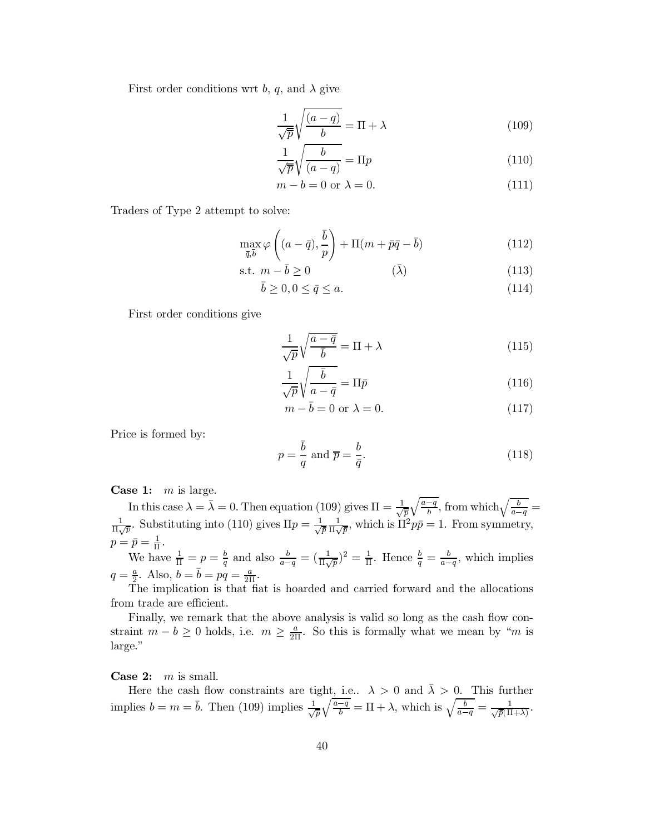First order conditions wrt b, q, and  $\lambda$  give

$$
\frac{1}{\sqrt{p}}\sqrt{\frac{(a-q)}{b}} = \Pi + \lambda
$$
\n(109)

$$
\frac{1}{\sqrt{\overline{p}}} \sqrt{\frac{b}{(a-q)}} = \Pi p \tag{110}
$$

$$
m - b = 0 \text{ or } \lambda = 0. \tag{111}
$$

Traders of Type 2 attempt to solve:

$$
\max_{\bar{q}, \bar{b}} \varphi \left( (a - \bar{q}), \frac{\bar{b}}{p} \right) + \Pi(m + \bar{p}\bar{q} - \bar{b}) \tag{112}
$$

$$
\text{s.t. } m - \bar{b} \ge 0 \tag{113}
$$

$$
\bar{b} \ge 0, 0 \le \bar{q} \le a. \tag{114}
$$

First order conditions give

$$
\frac{1}{\sqrt{p}}\sqrt{\frac{a-\bar{q}}{\bar{b}}} = \Pi + \lambda
$$
\n(115)

$$
\frac{1}{\sqrt{p}}\sqrt{\frac{\bar{b}}{a-\bar{q}}} = \Pi \bar{p} \tag{116}
$$

$$
m - \bar{b} = 0 \text{ or } \lambda = 0. \tag{117}
$$

Price is formed by:

$$
p = \frac{\bar{b}}{q} \text{ and } \overline{p} = \frac{b}{\bar{q}}.\tag{118}
$$

Case 1:  $m$  is large.

In this case  $\lambda = \bar{\lambda} = 0$ . Then equation (109) gives  $\Pi = \frac{1}{\sqrt{p}} \sqrt{\frac{a-q}{b}}$ , from which  $\sqrt{\frac{b}{a-q}} =$  $\frac{1}{\Pi\sqrt{p}}$ . Substituting into (110) gives  $\Pi p = \frac{1}{\sqrt{p}} \frac{1}{\Pi\sqrt{p}}$ , which is  $\Pi^2 p\bar{p} = 1$ . From symmetry,  $p = \bar{p} = \frac{1}{\Pi}.$ 

We have  $\frac{1}{\Pi} = p = \frac{b}{q}$  and also  $\frac{b}{a-q} = (\frac{1}{\Pi\sqrt{p}})^2 = \frac{1}{\Pi}$ . Hence  $\frac{b}{q} = \frac{b}{a-q}$ , which implies  $q = \frac{a}{2}$ . Also,  $b = \bar{b} = pq = \frac{a}{2\Pi}$ .

The implication is that fiat is hoarded and carried forward and the allocations from trade are efficient.

Finally, we remark that the above analysis is valid so long as the cash flow constraint  $m - b \ge 0$  holds, i.e.  $m \ge \frac{a}{2\pi}$ . So this is formally what we mean by "*m* is large."

Case 2:  $m$  is small.

Here the cash flow constraints are tight, i.e.,  $\lambda > 0$  and  $\overline{\lambda} > 0$ . This further implies  $b = m = \overline{b}$ . Then (109) implies  $\frac{1}{\sqrt{\overline{p}}} \sqrt{\frac{a-q}{b}} = \Pi + \lambda$ , which is  $\sqrt{\frac{b}{a-q}} = \frac{1}{\sqrt{\overline{p}}(\Pi + \lambda)}$ .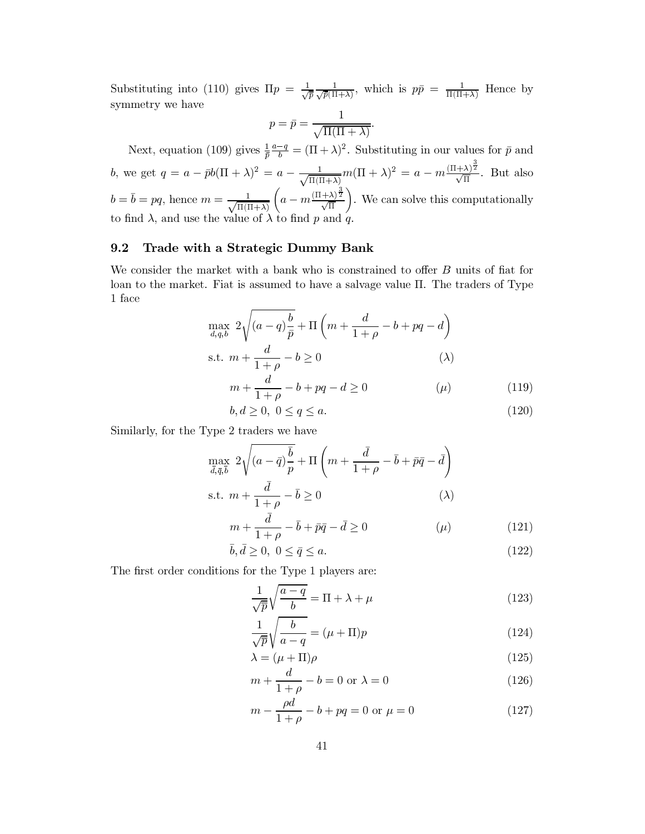Substituting into (110) gives  $\Pi p = \frac{1}{\sqrt{p}} \frac{1}{\sqrt{p}(H+\lambda)}$ , which is  $p\bar{p} = \frac{1}{H(H+\lambda)}$  Hence by symmetry we have

$$
p = \bar{p} = \frac{1}{\sqrt{\Pi(\Pi + \lambda)}}.
$$

Next, equation (109) gives  $\frac{1}{\bar{p}}\frac{a-q}{b} = (\Pi + \lambda)^2$ . Substituting in our values for  $\bar{p}$  and *b*, we get  $q = a - \bar{p}b(\Pi + \lambda)^2 = a - \frac{1}{\sqrt{\Pi(\Pi + \lambda)}}m(\Pi + \lambda)^2 = a - m\frac{(\Pi + \lambda)^{\frac{3}{2}}}{\sqrt{\Pi}}$ . But also  $b = \overline{b} = pq$ , hence  $m = \frac{1}{\sqrt{\Pi(\Pi + \lambda)}} \left( a - m \frac{(\Pi + \lambda)^{\frac{3}{2}}}{\sqrt{\Pi}} \right)$ . We can solve this computationally to find  $\lambda$ , and use the value of  $\lambda$  to find  $p$  and  $q$ .

#### 9.2 Trade with a Strategic Dummy Bank

We consider the market with a bank who is constrained to offer  $B$  units of fiat for loan to the market. Fiat is assumed to have a salvage value  $\Pi$ . The traders of Type 1 face

$$
\max_{d,q,b} 2\sqrt{(a-q)\frac{b}{\bar{p}}} + \Pi\left(m + \frac{d}{1+\rho} - b + pq - d\right)
$$
  
s.t. 
$$
m + \frac{d}{1+\rho} - b \ge 0
$$
 (A)  

$$
m + \frac{d}{1+\rho} - b + pq - d \ge 0
$$
 (4)

$$
b, d \ge 0, \ 0 \le q \le a. \tag{120}
$$

Similarly, for the Type 2 traders we have

$$
\max_{\bar{d},\bar{q},\bar{b}} 2\sqrt{(a-\bar{q})\frac{\bar{b}}{p}} + \Pi\left(m + \frac{\bar{d}}{1+\rho} - \bar{b} + \bar{p}\bar{q} - \bar{d}\right)
$$
  
s.t.  $m + \frac{\bar{d}}{1+\rho} - \bar{b} \ge 0$  (λ)

$$
m + \frac{\bar{d}}{1+\rho} - \bar{b} + \bar{p}\bar{q} - \bar{d} \ge 0 \tag{121}
$$

$$
\bar{b}, \bar{d} \ge 0, \ 0 \le \bar{q} \le a. \tag{122}
$$

The first order conditions for the Type 1 players are:

$$
\frac{1}{\sqrt{\overline{p}}} \sqrt{\frac{a-q}{b}} = \Pi + \lambda + \mu \tag{123}
$$

$$
\frac{1}{\sqrt{p}}\sqrt{\frac{b}{a-q}} = (\mu + \Pi)p
$$
\n(124)

$$
\lambda = (\mu + \Pi)\rho \tag{125}
$$

$$
m + \frac{d}{1+\rho} - b = 0 \text{ or } \lambda = 0 \tag{126}
$$

$$
m - \frac{\rho d}{1 + \rho} - b + pq = 0 \text{ or } \mu = 0 \tag{127}
$$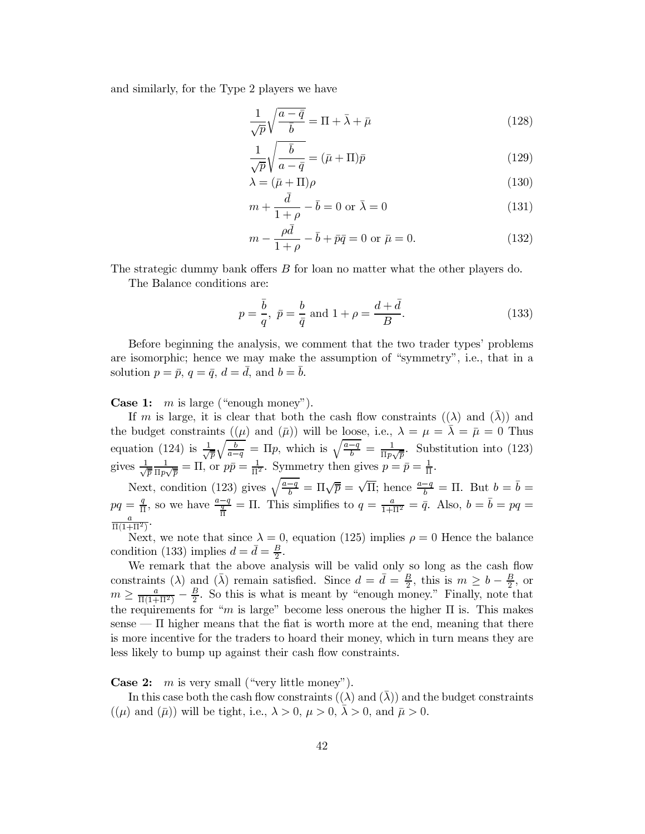and similarly, for the Type 2 players we have

$$
\frac{1}{\sqrt{p}}\sqrt{\frac{a-\bar{q}}{\bar{b}}} = \Pi + \bar{\lambda} + \bar{\mu}
$$
\n(128)

$$
\frac{1}{\sqrt{p}}\sqrt{\frac{\bar{b}}{a-\bar{q}}} = (\bar{\mu} + \Pi)\bar{p}
$$
\n(129)

$$
\lambda = (\bar{\mu} + \Pi)\rho \tag{130}
$$

$$
m + \frac{d}{1+\rho} - \bar{b} = 0 \text{ or } \bar{\lambda} = 0 \tag{131}
$$

$$
m - \frac{\rho d}{1 + \rho} - \bar{b} + \bar{p}\bar{q} = 0 \text{ or } \bar{\mu} = 0.
$$
 (132)

The strategic dummy bank offers B for loan no matter what the other players do.

The Balance conditions are:

$$
p = \frac{\bar{b}}{q}, \ \bar{p} = \frac{b}{\bar{q}} \text{ and } 1 + \rho = \frac{d + \bar{d}}{B}.
$$
 (133)

Before beginning the analysis, we comment that the two trader types' problems are isomorphic; hence we may make the assumption of "symmetry", i.e., that in a solution  $p = \bar{p}$ ,  $q = \bar{q}$ ,  $d = \bar{d}$ , and  $b = \bar{b}$ .

**Case 1:**  $m$  is large ("enough money").

If m is large, it is clear that both the cash flow constraints  $((\lambda)$  and  $(\overline{\lambda}))$  and the budget constraints  $((\mu)$  and  $(\bar{\mu}))$  will be loose, i.e.,  $\lambda = \mu = \bar{\lambda} = \bar{\mu} = 0$  Thus equation (124) is  $\frac{1}{\sqrt{\bar{p}}} \sqrt{\frac{b}{a-q}} = \Pi p$ , which is  $\sqrt{\frac{a-q}{b}} = \frac{1}{\Pi p \sqrt{\bar{p}}}$ . Substitution into (123) gives  $\frac{1}{\sqrt{\bar{p}}} \frac{1}{\Pi p \sqrt{\bar{p}}} = \Pi$ , or  $p\bar{p} = \frac{1}{\Pi^2}$ . Symmetry then gives  $p = \bar{p} = \frac{1}{\Pi}$ .

Next, condition (123) gives  $\sqrt{\frac{a-q}{b}} = \Pi \sqrt{\overline{p}} = \sqrt{\Pi}$ ; hence  $\frac{a-q}{b} = \Pi$ . But  $b = \overline{b} =$  $pq = \frac{q}{\Pi}$ , so we have  $\frac{a-q}{\frac{q}{\Pi}} = \Pi$ . This simplifies to  $q = \frac{a}{1+\Pi^2} = \bar{q}$ . Also,  $b = \bar{b} = pq =$  $\frac{a}{\Pi(1+\Pi^2)}$ .

Next, we note that since  $\lambda = 0$ , equation (125) implies  $\rho = 0$  Hence the balance condition (133) implies  $d = \bar{d} = \frac{B}{2}$ .

We remark that the above analysis will be valid only so long as the cash flow constraints ( $\lambda$ ) and ( $\bar{\lambda}$ ) remain satisfied. Since  $d = \bar{d} = \frac{B}{2}$ , this is  $m \geq b - \frac{B}{2}$ , or  $m \geq \frac{a}{\Pi(1+\Pi^2)} - \frac{B}{2}$ . So this is what is meant by "enough money." Finally, note that the requirements for "m is large" become less onerous the higher  $\Pi$  is. This makes sense  $\overline{\phantom{a}}$  II higher means that the fiat is worth more at the end, meaning that there is more incentive for the traders to hoard their money, which in turn means they are less likely to bump up against their cash flow constraints.

**Case 2:**  $m$  is very small ("very little money").

In this case both the cash flow constraints  $((\lambda)$  and  $(\bar{\lambda}))$  and the budget constraints  $((\mu)$  and  $(\bar{\mu})$  will be tight, i.e.,  $\lambda > 0$ ,  $\mu > 0$ ,  $\bar{\lambda} > 0$ , and  $\bar{\mu} > 0$ .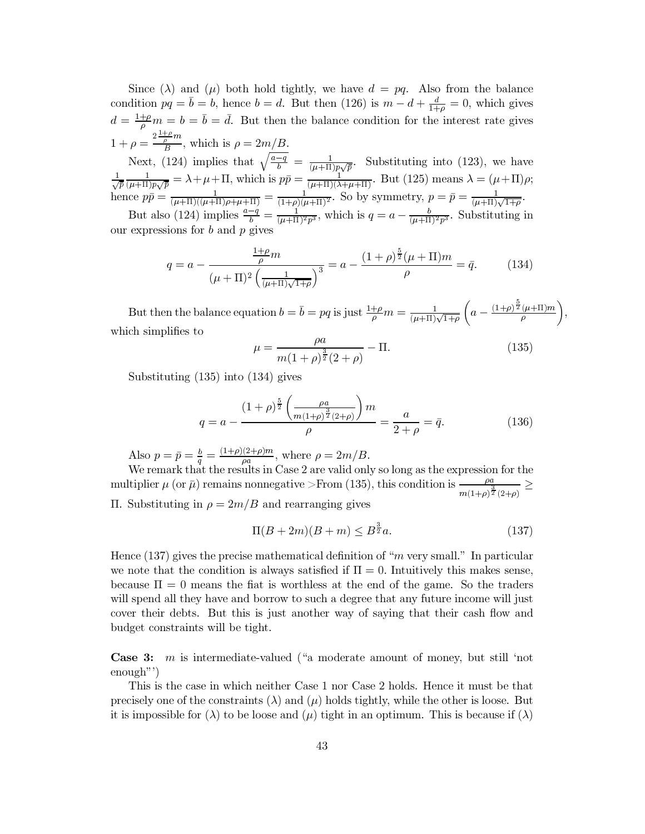Since ( $\lambda$ ) and ( $\mu$ ) both hold tightly, we have  $d = pq$ . Also from the balance condition  $pq = \overline{b} = b$ , hence  $b = d$ . But then (126) is  $m - d + \frac{d}{1+\rho} = 0$ , which gives  $d = \frac{1+\rho}{\rho}m = b = \bar{b} = d$ . But then the balance condition for the interest rate gives  $1+\rho=\frac{2\frac{1+\rho}{\rho}m}{B}$ , which is  $\rho=2m/B$ .

1+  $p = \frac{B}{B}$ , which is  $p = 2m/D$ .<br>
Next, (124) implies that  $\sqrt{\frac{a-q}{b}} = \frac{1}{(\mu+\Pi)p\sqrt{p}}$ . Substituting into (123), we have<br>  $\frac{1}{\sqrt{p}} \frac{1}{(\mu+\Pi)p\sqrt{p}} = \lambda + \mu + \Pi$ , which is  $p\bar{p} = \frac{1}{(\mu+\Pi)(\lambda+\mu+\Pi)}$ . But (125) means  $\lambda = (\$ 

But also (124) implies  $\frac{a-q}{b} = \frac{1}{(\mu+\Pi)^2 p^3}$ , which is  $q = a - \frac{b}{(\mu+\Pi)^2 p^3}$ . Substituting in our expressions for  $b$  and  $p$  gives

$$
q = a - \frac{\frac{1+\rho}{\rho}m}{(\mu+\Pi)^2 \left(\frac{1}{(\mu+\Pi)\sqrt{1+\rho}}\right)^3} = a - \frac{(1+\rho)^{\frac{5}{2}}(\mu+\Pi)m}{\rho} = \bar{q}.
$$
 (134)

But then the balance equation  $b = \overline{b} = pq$  is just  $\frac{1+\rho}{\rho}m = \frac{1}{(\mu+\Pi)\sqrt{1+\rho}}\left(a - \frac{(1+\rho)\frac{5}{2}(\mu+\Pi)m}{\rho}\right)$ , which simplifies to

$$
\mu = \frac{\rho a}{m(1+\rho)^{\frac{3}{2}}(2+\rho)} - \Pi.
$$
\n(135)

Substituting  $(135)$  into  $(134)$  gives

$$
q = a - \frac{(1+\rho)^{\frac{5}{2}} \left(\frac{\rho a}{m(1+\rho)^{\frac{3}{2}}(2+\rho)}\right)m}{\rho} = \frac{a}{2+\rho} = \bar{q}.
$$
 (136)

Also  $p = \bar{p} = \frac{b}{q} = \frac{(1+\rho)(2+\rho)m}{\rho a}$ , where  $\rho = 2m/B$ .<br>We remark that the results in Case 2 are valid only so long as the expression for the multiplier  $\mu$  (or  $\bar{\mu}$ ) remains nonnegative >From (135), this condition is  $\frac{\rho a}{m(1+\rho)\frac{3}{2}(2+\rho)} \ge$ II. Substituting in  $\rho = 2m/B$  and rearranging gives

$$
\Pi(B+2m)(B+m) \le B^{\frac{3}{2}}a. \tag{137}
$$

Hence (137) gives the precise mathematical definition of "m very small." In particular we note that the condition is always satisfied if  $\Pi = 0$ . Intuitively this makes sense, because  $\Pi = 0$  means the flat is worthless at the end of the game. So the traders will spend all they have and borrow to such a degree that any future income will just cover their debts. But this is just another way of saying that their cash flow and budget constraints will be tight.

**Case 3:**  $m$  is intermediate-valued ("a moderate amount of money, but still 'not  $enough"$ 

This is the case in which neither Case 1 nor Case 2 holds. Hence it must be that precisely one of the constraints  $(\lambda)$  and  $(\mu)$  holds tightly, while the other is loose. But it is impossible for ( $\lambda$ ) to be loose and ( $\mu$ ) tight in an optimum. This is because if ( $\lambda$ )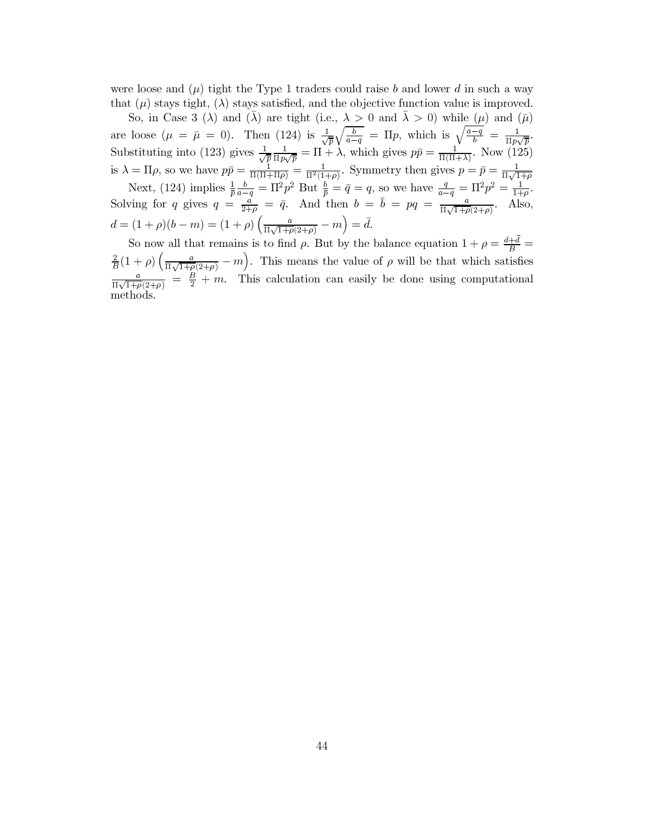were loose and  $(\mu)$  tight the Type 1 traders could raise b and lower d in such a way that ( $\mu$ ) stays tight, ( $\lambda$ ) stays satisfied, and the objective function value is improved.

So, in Case 3 ( $\lambda$ ) and ( $\lambda$ ) are tight (i.e.,  $\lambda > 0$  and  $\lambda > 0$ ) while ( $\mu$ ) and ( $\bar{\mu}$ ) are loose  $(\mu = \bar{\mu} = 0)$ . Then (124) is  $\frac{1}{\sqrt{\bar{p}}}\sqrt{\frac{b}{a-q}} = \Pi p$ , which is  $\sqrt{\frac{a-q}{b}} = \frac{1}{\Pi p\sqrt{\bar{p}}}$ .<br>Substituting into (123) gives  $\frac{1}{\sqrt{\bar{p}}}\frac{1}{\Pi p\sqrt{\bar{p}}} = \Pi + \lambda$ , which gives  $p\bar{p} = \frac{1}{\Pi(\Pi+\lambda)}$ . Now (125)  $d=(1+\rho)(b-m)=(1+\rho)\left(\frac{a}{\Pi\sqrt{1+\rho}(2+\rho)}-m\right)=\bar{d}.$ 

So now all that remains is to find  $\rho$ . But by the balance equation  $1 + \rho = \frac{d + \bar{d}}{B}$  $\frac{2}{B}(1+\rho)\left(\frac{a}{\Pi\sqrt{1+\rho}(2+\rho)}-m\right).$  This means the value of  $\rho$  will be that which satisfies  $\frac{a}{\Pi\sqrt{1+\rho(2+\rho)}} = \frac{B}{2} + m$ . This calculation can easily be done using computational methods.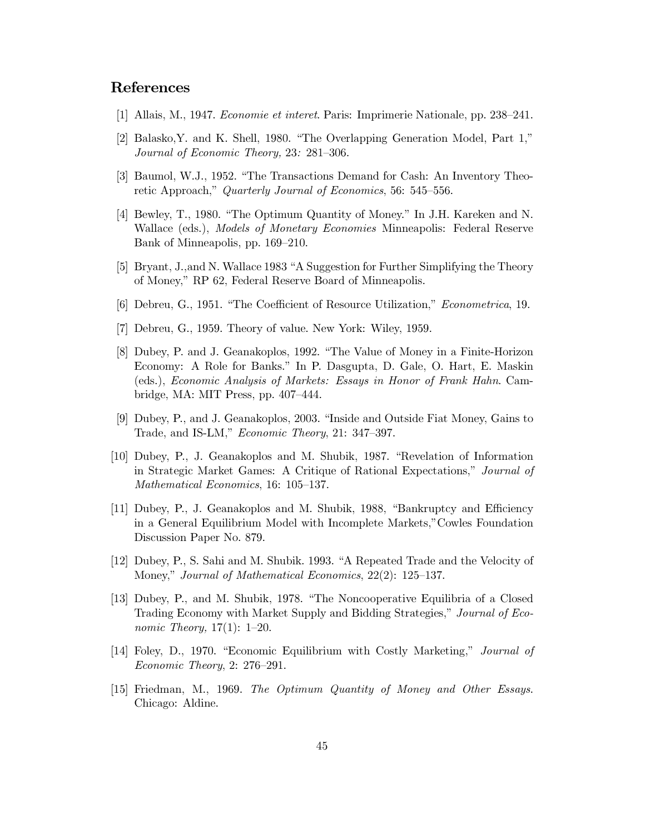# **References**

- [1] Allais, M., 1947. *Economie et interet.* Paris: Imprimerie Nationale, pp. 238–241.
- [2] Balasko, Y. and K. Shell, 1980. "The Overlapping Generation Model, Part 1," Journal of Economic Theory, 23: 281–306.
- [3] Baumol, W.J., 1952. "The Transactions Demand for Cash: An Inventory Theoretic Approach," Quarterly Journal of Economics, 56: 545–556.
- [4] Bewley, T., 1980. "The Optimum Quantity of Money." In J.H. Kareken and N. Wallace (eds.), *Models of Monetary Economies* Minneapolis: Federal Reserve Bank of Minneapolis, pp. 169–210.
- [5] Bryant, J., and N. Wallace 1983 "A Suggestion for Further Simplifying the Theory of Money," RP 62, Federal Reserve Board of Minneapolis.
- [6] Debreu, G., 1951. "The Coefficient of Resource Utilization," *Econometrica*, 19.
- [7] Debreu, G., 1959. Theory of value. New York: Wiley, 1959.
- [8] Dubey, P. and J. Geanakoplos, 1992. "The Value of Money in a Finite-Horizon Economy: A Role for Banks." In P. Dasgupta, D. Gale, O. Hart, E. Maskin (eds.), Economic Analysis of Markets: Essays in Honor of Frank Hahn. Cambridge, MA: MIT Press, pp.  $407-444$ .
- [9] Dubey, P., and J. Geanakoplos, 2003. "Inside and Outside Fiat Money, Gains to Trade, and IS-LM," Economic Theory, 21: 347-397.
- [10] Dubey, P., J. Geanakoplos and M. Shubik, 1987. "Revelation of Information in Strategic Market Games: A Critique of Rational Expectations," Journal of Mathematical Economics, 16: 105-137.
- [11] Dubey, P., J. Geanakoplos and M. Shubik, 1988, "Bankruptcy and Efficiency in a General Equilibrium Model with Incomplete Markets," Cowles Foundation Discussion Paper No. 879.
- [12] Dubey, P., S. Sahi and M. Shubik. 1993. "A Repeated Trade and the Velocity of Money," Journal of Mathematical Economics, 22(2): 125–137.
- [13] Dubey, P., and M. Shubik, 1978. "The Noncooperative Equilibria of a Closed Trading Economy with Market Supply and Bidding Strategies," Journal of Eco*nomic Theory*,  $17(1)$ :  $1-20$ .
- [14] Foley, D., 1970. "Economic Equilibrium with Costly Marketing," Journal of  $Economic Theory, 2: 276-291.$
- [15] Friedman, M., 1969. The Optimum Quantity of Money and Other Essays. Chicago: Aldine.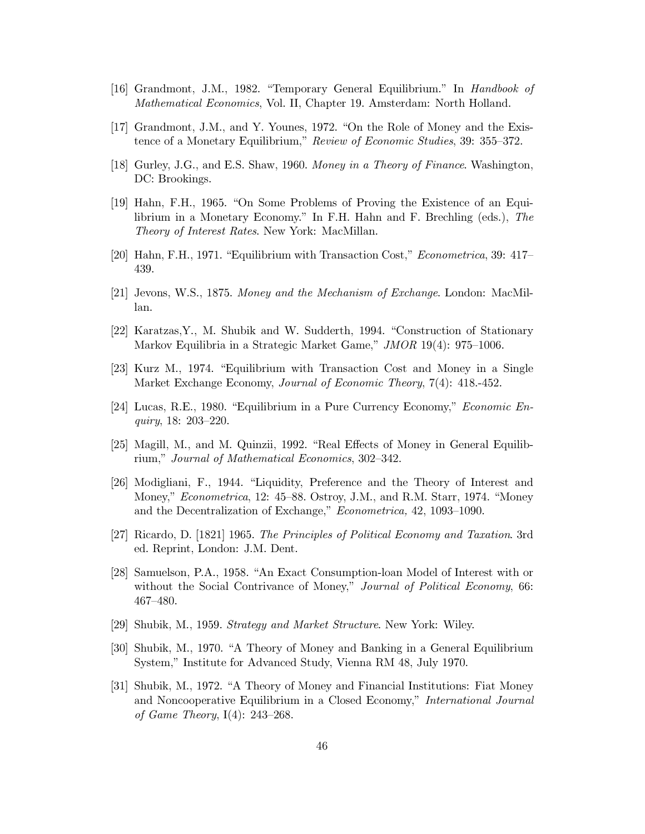- [16] Grandmont, J.M., 1982. "Temporary General Equilibrium." In *Handbook of* Mathematical Economics, Vol. II, Chapter 19. Amsterdam: North Holland.
- [17] Grandmont, J.M., and Y. Younes, 1972. "On the Role of Money and the Existence of a Monetary Equilibrium," Review of Economic Studies, 39: 355–372.
- [18] Gurley, J.G., and E.S. Shaw, 1960. Money in a Theory of Finance. Washington, DC: Brookings.
- [19] Hahn, F.H., 1965. "On Some Problems of Proving the Existence of an Equilibrium in a Monetary Economy." In F.H. Hahn and F. Brechling (eds.), The Theory of Interest Rates. New York: MacMillan.
- [20] Hahn, F.H., 1971. "Equilibrium with Transaction Cost," *Econometrica*, 39: 417– 439.
- [21] Jevons, W.S., 1875. Money and the Mechanism of Exchange. London: MacMillan.
- [22] Karatzas, Y., M. Shubik and W. Sudderth, 1994. "Construction of Stationary Markov Equilibria in a Strategic Market Game," JMOR 19(4): 975–1006.
- [23] Kurz M., 1974. "Equilibrium with Transaction Cost and Money in a Single Market Exchange Economy, *Journal of Economic Theory*, 7(4): 418.-452.
- [24] Lucas, R.E., 1980. "Equilibrium in a Pure Currency Economy," *Economic Enquiry*, 18: 203–220.
- [25] Magill, M., and M. Quinzii, 1992. "Real Effects of Money in General Equilibrium," Journal of Mathematical Economics, 302-342.
- [26] Modigliani, F., 1944. "Liquidity, Preference and the Theory of Interest and Money," *Econometrica*, 12: 45–88. Ostroy, J.M., and R.M. Starr, 1974. "Money and the Decentralization of Exchange," *Econometrica*, 42, 1093–1090.
- [27] Ricardo, D. [1821] 1965. The Principles of Political Economy and Taxation. 3rd ed. Reprint, London: J.M. Dent.
- [28] Samuelson, P.A., 1958. "An Exact Consumption-loan Model of Interest with or without the Social Contrivance of Money," Journal of Political Economy, 66:  $467 - 480.$
- [29] Shubik, M., 1959. Strategy and Market Structure. New York: Wiley.
- [30] Shubik, M., 1970. "A Theory of Money and Banking in a General Equilibrium System," Institute for Advanced Study, Vienna RM 48, July 1970.
- [31] Shubik, M., 1972. "A Theory of Money and Financial Institutions: Fiat Money and Noncooperative Equilibrium in a Closed Economy," International Journal of Game Theory,  $I(4)$ : 243–268.